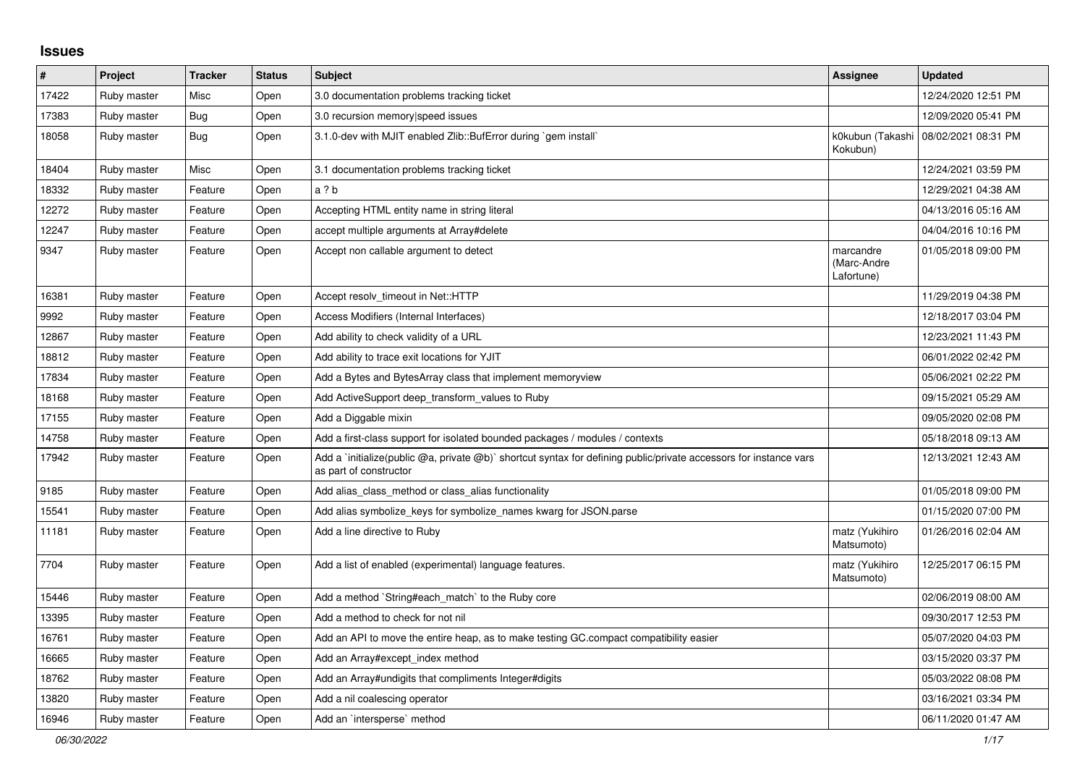## **Issues**

| #     | Project     | <b>Tracker</b> | <b>Status</b> | <b>Subject</b>                                                                                                                              | Assignee                               | <b>Updated</b>      |
|-------|-------------|----------------|---------------|---------------------------------------------------------------------------------------------------------------------------------------------|----------------------------------------|---------------------|
| 17422 | Ruby master | Misc           | Open          | 3.0 documentation problems tracking ticket                                                                                                  |                                        | 12/24/2020 12:51 PM |
| 17383 | Ruby master | <b>Bug</b>     | Open          | 3.0 recursion memory speed issues                                                                                                           |                                        | 12/09/2020 05:41 PM |
| 18058 | Ruby master | <b>Bug</b>     | Open          | 3.1.0-dev with MJIT enabled Zlib::BufError during `gem install`                                                                             | k0kubun (Takashi<br>Kokubun)           | 08/02/2021 08:31 PM |
| 18404 | Ruby master | Misc           | Open          | 3.1 documentation problems tracking ticket                                                                                                  |                                        | 12/24/2021 03:59 PM |
| 18332 | Ruby master | Feature        | Open          | a ? b                                                                                                                                       |                                        | 12/29/2021 04:38 AM |
| 12272 | Ruby master | Feature        | Open          | Accepting HTML entity name in string literal                                                                                                |                                        | 04/13/2016 05:16 AM |
| 12247 | Ruby master | Feature        | Open          | accept multiple arguments at Array#delete                                                                                                   |                                        | 04/04/2016 10:16 PM |
| 9347  | Ruby master | Feature        | Open          | Accept non callable argument to detect                                                                                                      | marcandre<br>(Marc-Andre<br>Lafortune) | 01/05/2018 09:00 PM |
| 16381 | Ruby master | Feature        | Open          | Accept resolv timeout in Net::HTTP                                                                                                          |                                        | 11/29/2019 04:38 PM |
| 9992  | Ruby master | Feature        | Open          | Access Modifiers (Internal Interfaces)                                                                                                      |                                        | 12/18/2017 03:04 PM |
| 12867 | Ruby master | Feature        | Open          | Add ability to check validity of a URL                                                                                                      |                                        | 12/23/2021 11:43 PM |
| 18812 | Ruby master | Feature        | Open          | Add ability to trace exit locations for YJIT                                                                                                |                                        | 06/01/2022 02:42 PM |
| 17834 | Ruby master | Feature        | Open          | Add a Bytes and BytesArray class that implement memoryview                                                                                  |                                        | 05/06/2021 02:22 PM |
| 18168 | Ruby master | Feature        | Open          | Add ActiveSupport deep_transform_values to Ruby                                                                                             |                                        | 09/15/2021 05:29 AM |
| 17155 | Ruby master | Feature        | Open          | Add a Diggable mixin                                                                                                                        |                                        | 09/05/2020 02:08 PM |
| 14758 | Ruby master | Feature        | Open          | Add a first-class support for isolated bounded packages / modules / contexts                                                                |                                        | 05/18/2018 09:13 AM |
| 17942 | Ruby master | Feature        | Open          | Add a 'initialize(public @a, private @b)' shortcut syntax for defining public/private accessors for instance vars<br>as part of constructor |                                        | 12/13/2021 12:43 AM |
| 9185  | Ruby master | Feature        | Open          | Add alias class method or class alias functionality                                                                                         |                                        | 01/05/2018 09:00 PM |
| 15541 | Ruby master | Feature        | Open          | Add alias symbolize keys for symbolize names kwarg for JSON.parse                                                                           |                                        | 01/15/2020 07:00 PM |
| 11181 | Ruby master | Feature        | Open          | Add a line directive to Ruby                                                                                                                | matz (Yukihiro<br>Matsumoto)           | 01/26/2016 02:04 AM |
| 7704  | Ruby master | Feature        | Open          | Add a list of enabled (experimental) language features.                                                                                     | matz (Yukihiro<br>Matsumoto)           | 12/25/2017 06:15 PM |
| 15446 | Ruby master | Feature        | Open          | Add a method `String#each match` to the Ruby core                                                                                           |                                        | 02/06/2019 08:00 AM |
| 13395 | Ruby master | Feature        | Open          | Add a method to check for not nil                                                                                                           |                                        | 09/30/2017 12:53 PM |
| 16761 | Ruby master | Feature        | Open          | Add an API to move the entire heap, as to make testing GC.compact compatibility easier                                                      |                                        | 05/07/2020 04:03 PM |
| 16665 | Ruby master | Feature        | Open          | Add an Array#except_index method                                                                                                            |                                        | 03/15/2020 03:37 PM |
| 18762 | Ruby master | Feature        | Open          | Add an Array#undigits that compliments Integer#digits                                                                                       |                                        | 05/03/2022 08:08 PM |
| 13820 | Ruby master | Feature        | Open          | Add a nil coalescing operator                                                                                                               |                                        | 03/16/2021 03:34 PM |
| 16946 | Ruby master | Feature        | Open          | Add an `intersperse` method                                                                                                                 |                                        | 06/11/2020 01:47 AM |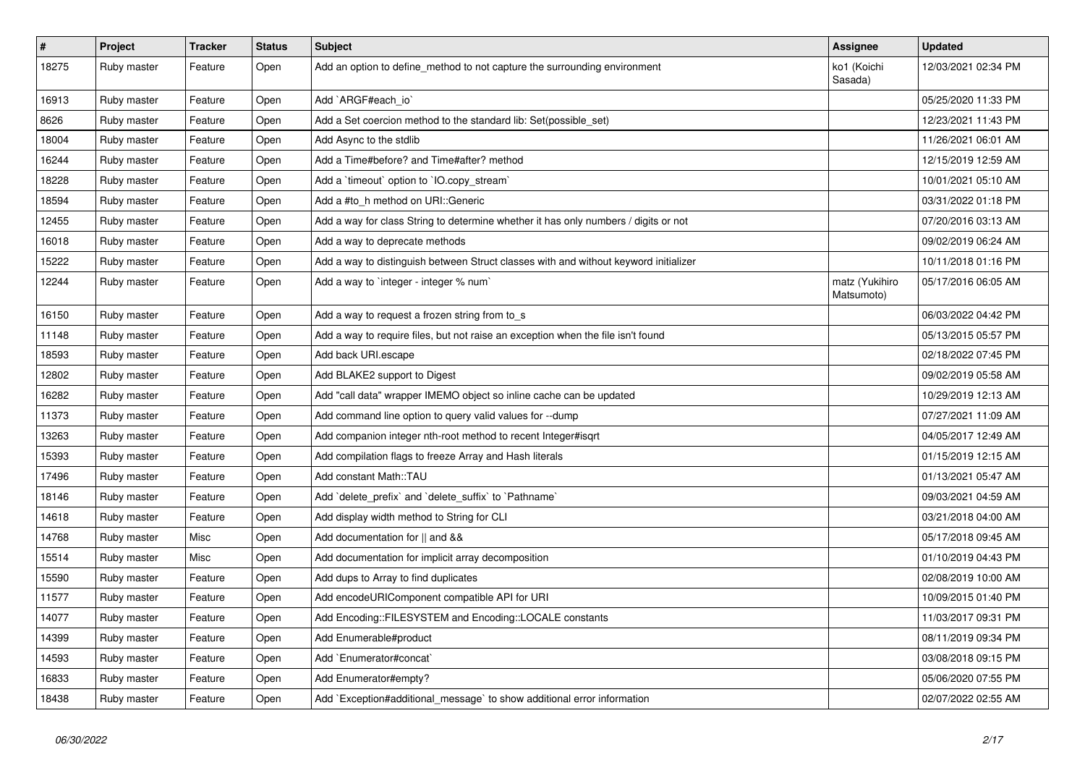| $\vert$ # | Project     | <b>Tracker</b> | <b>Status</b> | <b>Subject</b>                                                                       | <b>Assignee</b>              | <b>Updated</b>      |
|-----------|-------------|----------------|---------------|--------------------------------------------------------------------------------------|------------------------------|---------------------|
| 18275     | Ruby master | Feature        | Open          | Add an option to define_method to not capture the surrounding environment            | ko1 (Koichi<br>Sasada)       | 12/03/2021 02:34 PM |
| 16913     | Ruby master | Feature        | Open          | Add `ARGF#each_io`                                                                   |                              | 05/25/2020 11:33 PM |
| 8626      | Ruby master | Feature        | Open          | Add a Set coercion method to the standard lib: Set(possible set)                     |                              | 12/23/2021 11:43 PM |
| 18004     | Ruby master | Feature        | Open          | Add Async to the stdlib                                                              |                              | 11/26/2021 06:01 AM |
| 16244     | Ruby master | Feature        | Open          | Add a Time#before? and Time#after? method                                            |                              | 12/15/2019 12:59 AM |
| 18228     | Ruby master | Feature        | Open          | Add a `timeout` option to `IO.copy_stream`                                           |                              | 10/01/2021 05:10 AM |
| 18594     | Ruby master | Feature        | Open          | Add a #to_h method on URI::Generic                                                   |                              | 03/31/2022 01:18 PM |
| 12455     | Ruby master | Feature        | Open          | Add a way for class String to determine whether it has only numbers / digits or not  |                              | 07/20/2016 03:13 AM |
| 16018     | Ruby master | Feature        | Open          | Add a way to deprecate methods                                                       |                              | 09/02/2019 06:24 AM |
| 15222     | Ruby master | Feature        | Open          | Add a way to distinguish between Struct classes with and without keyword initializer |                              | 10/11/2018 01:16 PM |
| 12244     | Ruby master | Feature        | Open          | Add a way to `integer - integer % num`                                               | matz (Yukihiro<br>Matsumoto) | 05/17/2016 06:05 AM |
| 16150     | Ruby master | Feature        | Open          | Add a way to request a frozen string from to_s                                       |                              | 06/03/2022 04:42 PM |
| 11148     | Ruby master | Feature        | Open          | Add a way to require files, but not raise an exception when the file isn't found     |                              | 05/13/2015 05:57 PM |
| 18593     | Ruby master | Feature        | Open          | Add back URI.escape                                                                  |                              | 02/18/2022 07:45 PM |
| 12802     | Ruby master | Feature        | Open          | Add BLAKE2 support to Digest                                                         |                              | 09/02/2019 05:58 AM |
| 16282     | Ruby master | Feature        | Open          | Add "call data" wrapper IMEMO object so inline cache can be updated                  |                              | 10/29/2019 12:13 AM |
| 11373     | Ruby master | Feature        | Open          | Add command line option to query valid values for --dump                             |                              | 07/27/2021 11:09 AM |
| 13263     | Ruby master | Feature        | Open          | Add companion integer nth-root method to recent Integer#isgrt                        |                              | 04/05/2017 12:49 AM |
| 15393     | Ruby master | Feature        | Open          | Add compilation flags to freeze Array and Hash literals                              |                              | 01/15/2019 12:15 AM |
| 17496     | Ruby master | Feature        | Open          | Add constant Math::TAU                                                               |                              | 01/13/2021 05:47 AM |
| 18146     | Ruby master | Feature        | Open          | Add `delete_prefix` and `delete_suffix` to `Pathname`                                |                              | 09/03/2021 04:59 AM |
| 14618     | Ruby master | Feature        | Open          | Add display width method to String for CLI                                           |                              | 03/21/2018 04:00 AM |
| 14768     | Ruby master | Misc           | Open          | Add documentation for    and &&                                                      |                              | 05/17/2018 09:45 AM |
| 15514     | Ruby master | Misc           | Open          | Add documentation for implicit array decomposition                                   |                              | 01/10/2019 04:43 PM |
| 15590     | Ruby master | Feature        | Open          | Add dups to Array to find duplicates                                                 |                              | 02/08/2019 10:00 AM |
| 11577     | Ruby master | Feature        | Open          | Add encodeURIComponent compatible API for URI                                        |                              | 10/09/2015 01:40 PM |
| 14077     | Ruby master | Feature        | Open          | Add Encoding::FILESYSTEM and Encoding::LOCALE constants                              |                              | 11/03/2017 09:31 PM |
| 14399     | Ruby master | Feature        | Open          | Add Enumerable#product                                                               |                              | 08/11/2019 09:34 PM |
| 14593     | Ruby master | Feature        | Open          | Add `Enumerator#concat`                                                              |                              | 03/08/2018 09:15 PM |
| 16833     | Ruby master | Feature        | Open          | Add Enumerator#empty?                                                                |                              | 05/06/2020 07:55 PM |
| 18438     | Ruby master | Feature        | Open          | Add `Exception#additional_message` to show additional error information              |                              | 02/07/2022 02:55 AM |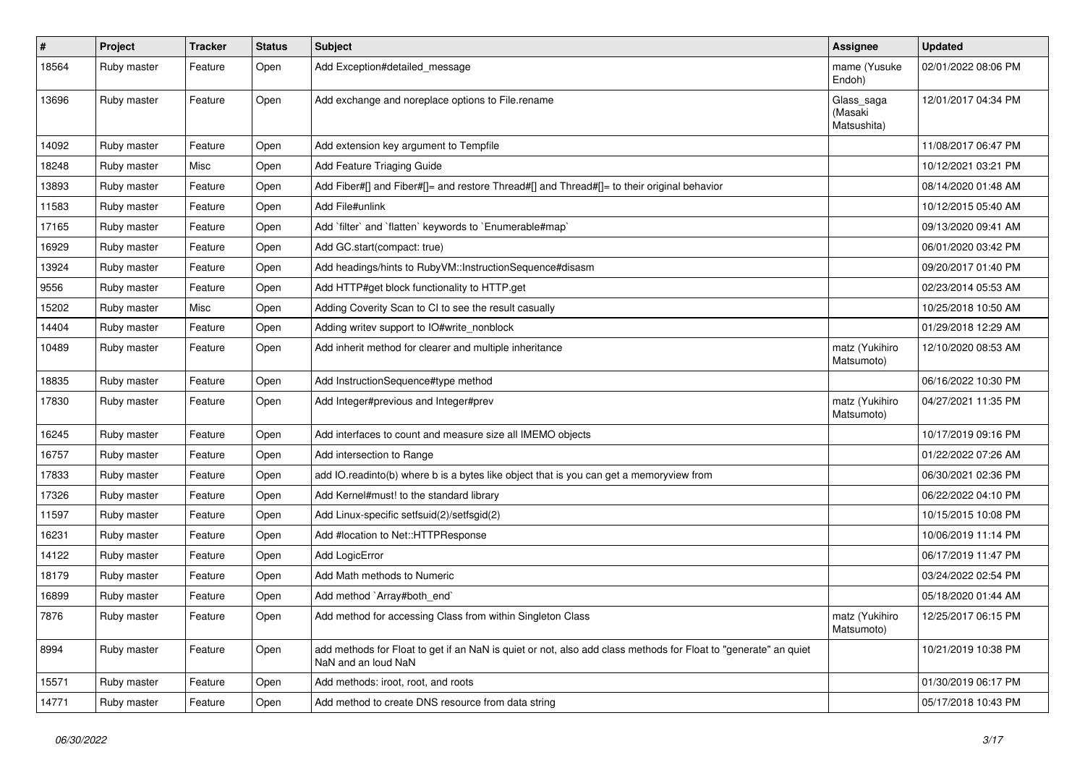| #     | Project     | <b>Tracker</b> | <b>Status</b> | Subject                                                                                                                                | <b>Assignee</b>                      | <b>Updated</b>      |
|-------|-------------|----------------|---------------|----------------------------------------------------------------------------------------------------------------------------------------|--------------------------------------|---------------------|
| 18564 | Ruby master | Feature        | Open          | Add Exception#detailed_message                                                                                                         | mame (Yusuke<br>Endoh)               | 02/01/2022 08:06 PM |
| 13696 | Ruby master | Feature        | Open          | Add exchange and noreplace options to File.rename                                                                                      | Glass_saga<br>(Masaki<br>Matsushita) | 12/01/2017 04:34 PM |
| 14092 | Ruby master | Feature        | Open          | Add extension key argument to Tempfile                                                                                                 |                                      | 11/08/2017 06:47 PM |
| 18248 | Ruby master | Misc           | Open          | Add Feature Triaging Guide                                                                                                             |                                      | 10/12/2021 03:21 PM |
| 13893 | Ruby master | Feature        | Open          | Add Fiber#[] and Fiber#[]= and restore Thread#[] and Thread#[]= to their original behavior                                             |                                      | 08/14/2020 01:48 AM |
| 11583 | Ruby master | Feature        | Open          | Add File#unlink                                                                                                                        |                                      | 10/12/2015 05:40 AM |
| 17165 | Ruby master | Feature        | Open          | Add 'filter' and 'flatten' keywords to 'Enumerable#map'                                                                                |                                      | 09/13/2020 09:41 AM |
| 16929 | Ruby master | Feature        | Open          | Add GC.start(compact: true)                                                                                                            |                                      | 06/01/2020 03:42 PM |
| 13924 | Ruby master | Feature        | Open          | Add headings/hints to RubyVM::InstructionSequence#disasm                                                                               |                                      | 09/20/2017 01:40 PM |
| 9556  | Ruby master | Feature        | Open          | Add HTTP#get block functionality to HTTP.get                                                                                           |                                      | 02/23/2014 05:53 AM |
| 15202 | Ruby master | Misc           | Open          | Adding Coverity Scan to CI to see the result casually                                                                                  |                                      | 10/25/2018 10:50 AM |
| 14404 | Ruby master | Feature        | Open          | Adding writev support to IO#write_nonblock                                                                                             |                                      | 01/29/2018 12:29 AM |
| 10489 | Ruby master | Feature        | Open          | Add inherit method for clearer and multiple inheritance                                                                                | matz (Yukihiro<br>Matsumoto)         | 12/10/2020 08:53 AM |
| 18835 | Ruby master | Feature        | Open          | Add InstructionSequence#type method                                                                                                    |                                      | 06/16/2022 10:30 PM |
| 17830 | Ruby master | Feature        | Open          | Add Integer#previous and Integer#prev                                                                                                  | matz (Yukihiro<br>Matsumoto)         | 04/27/2021 11:35 PM |
| 16245 | Ruby master | Feature        | Open          | Add interfaces to count and measure size all IMEMO objects                                                                             |                                      | 10/17/2019 09:16 PM |
| 16757 | Ruby master | Feature        | Open          | Add intersection to Range                                                                                                              |                                      | 01/22/2022 07:26 AM |
| 17833 | Ruby master | Feature        | Open          | add IO.readinto(b) where b is a bytes like object that is you can get a memoryview from                                                |                                      | 06/30/2021 02:36 PM |
| 17326 | Ruby master | Feature        | Open          | Add Kernel#must! to the standard library                                                                                               |                                      | 06/22/2022 04:10 PM |
| 11597 | Ruby master | Feature        | Open          | Add Linux-specific setfsuid(2)/setfsgid(2)                                                                                             |                                      | 10/15/2015 10:08 PM |
| 16231 | Ruby master | Feature        | Open          | Add #location to Net::HTTPResponse                                                                                                     |                                      | 10/06/2019 11:14 PM |
| 14122 | Ruby master | Feature        | Open          | Add LogicError                                                                                                                         |                                      | 06/17/2019 11:47 PM |
| 18179 | Ruby master | Feature        | Open          | Add Math methods to Numeric                                                                                                            |                                      | 03/24/2022 02:54 PM |
| 16899 | Ruby master | Feature        | Open          | Add method `Array#both end`                                                                                                            |                                      | 05/18/2020 01:44 AM |
| 7876  | Ruby master | Feature        | Open          | Add method for accessing Class from within Singleton Class                                                                             | matz (Yukihiro<br>Matsumoto)         | 12/25/2017 06:15 PM |
| 8994  | Ruby master | Feature        | Open          | add methods for Float to get if an NaN is quiet or not, also add class methods for Float to "generate" an quiet<br>NaN and an loud NaN |                                      | 10/21/2019 10:38 PM |
| 15571 | Ruby master | Feature        | Open          | Add methods: iroot, root, and roots                                                                                                    |                                      | 01/30/2019 06:17 PM |
| 14771 | Ruby master | Feature        | Open          | Add method to create DNS resource from data string                                                                                     |                                      | 05/17/2018 10:43 PM |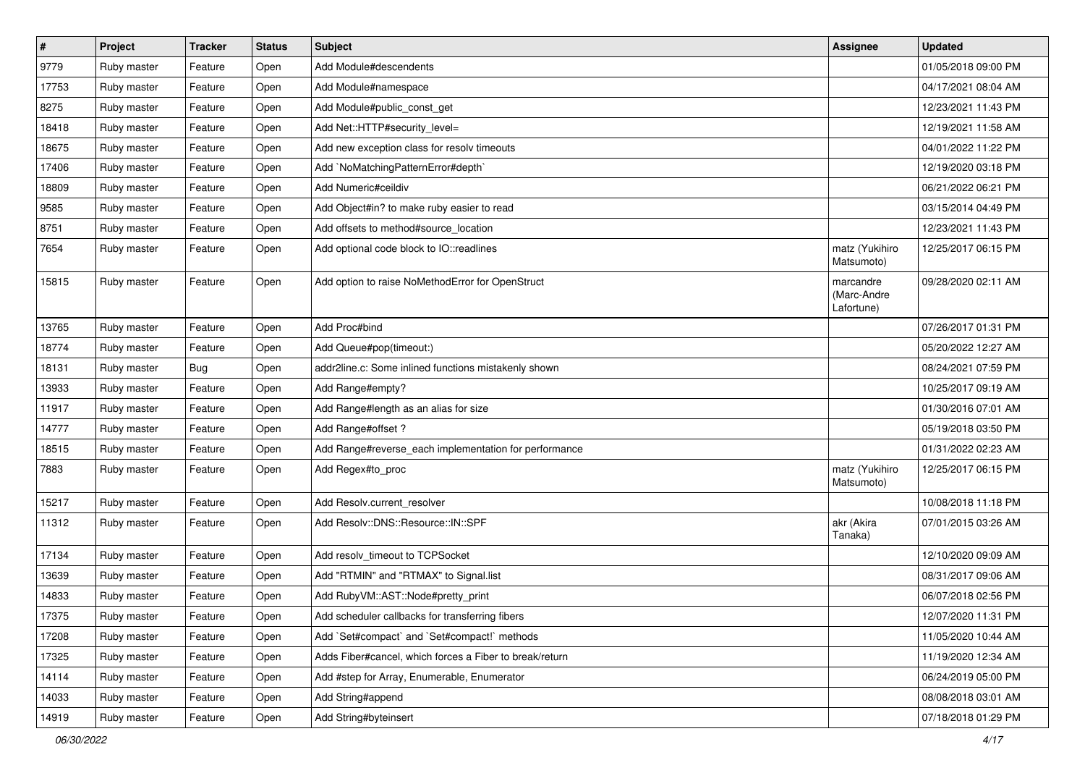| $\vert$ # | Project     | <b>Tracker</b> | <b>Status</b> | Subject                                                 | <b>Assignee</b>                        | <b>Updated</b>      |
|-----------|-------------|----------------|---------------|---------------------------------------------------------|----------------------------------------|---------------------|
| 9779      | Ruby master | Feature        | Open          | Add Module#descendents                                  |                                        | 01/05/2018 09:00 PM |
| 17753     | Ruby master | Feature        | Open          | Add Module#namespace                                    |                                        | 04/17/2021 08:04 AM |
| 8275      | Ruby master | Feature        | Open          | Add Module#public_const_get                             |                                        | 12/23/2021 11:43 PM |
| 18418     | Ruby master | Feature        | Open          | Add Net::HTTP#security_level=                           |                                        | 12/19/2021 11:58 AM |
| 18675     | Ruby master | Feature        | Open          | Add new exception class for resolv timeouts             |                                        | 04/01/2022 11:22 PM |
| 17406     | Ruby master | Feature        | Open          | Add `NoMatchingPatternError#depth`                      |                                        | 12/19/2020 03:18 PM |
| 18809     | Ruby master | Feature        | Open          | Add Numeric#ceildiv                                     |                                        | 06/21/2022 06:21 PM |
| 9585      | Ruby master | Feature        | Open          | Add Object#in? to make ruby easier to read              |                                        | 03/15/2014 04:49 PM |
| 8751      | Ruby master | Feature        | Open          | Add offsets to method#source_location                   |                                        | 12/23/2021 11:43 PM |
| 7654      | Ruby master | Feature        | Open          | Add optional code block to IO::readlines                | matz (Yukihiro<br>Matsumoto)           | 12/25/2017 06:15 PM |
| 15815     | Ruby master | Feature        | Open          | Add option to raise NoMethodError for OpenStruct        | marcandre<br>(Marc-Andre<br>Lafortune) | 09/28/2020 02:11 AM |
| 13765     | Ruby master | Feature        | Open          | Add Proc#bind                                           |                                        | 07/26/2017 01:31 PM |
| 18774     | Ruby master | Feature        | Open          | Add Queue#pop(timeout:)                                 |                                        | 05/20/2022 12:27 AM |
| 18131     | Ruby master | <b>Bug</b>     | Open          | addr2line.c: Some inlined functions mistakenly shown    |                                        | 08/24/2021 07:59 PM |
| 13933     | Ruby master | Feature        | Open          | Add Range#empty?                                        |                                        | 10/25/2017 09:19 AM |
| 11917     | Ruby master | Feature        | Open          | Add Range#length as an alias for size                   |                                        | 01/30/2016 07:01 AM |
| 14777     | Ruby master | Feature        | Open          | Add Range#offset ?                                      |                                        | 05/19/2018 03:50 PM |
| 18515     | Ruby master | Feature        | Open          | Add Range#reverse_each implementation for performance   |                                        | 01/31/2022 02:23 AM |
| 7883      | Ruby master | Feature        | Open          | Add Regex#to_proc                                       | matz (Yukihiro<br>Matsumoto)           | 12/25/2017 06:15 PM |
| 15217     | Ruby master | Feature        | Open          | Add Resolv.current_resolver                             |                                        | 10/08/2018 11:18 PM |
| 11312     | Ruby master | Feature        | Open          | Add Resolv::DNS::Resource::IN::SPF                      | akr (Akira<br>Tanaka)                  | 07/01/2015 03:26 AM |
| 17134     | Ruby master | Feature        | Open          | Add resolv_timeout to TCPSocket                         |                                        | 12/10/2020 09:09 AM |
| 13639     | Ruby master | Feature        | Open          | Add "RTMIN" and "RTMAX" to Signal.list                  |                                        | 08/31/2017 09:06 AM |
| 14833     | Ruby master | Feature        | Open          | Add RubyVM::AST::Node#pretty_print                      |                                        | 06/07/2018 02:56 PM |
| 17375     | Ruby master | Feature        | Open          | Add scheduler callbacks for transferring fibers         |                                        | 12/07/2020 11:31 PM |
| 17208     | Ruby master | Feature        | Open          | Add `Set#compact` and `Set#compact!` methods            |                                        | 11/05/2020 10:44 AM |
| 17325     | Ruby master | Feature        | Open          | Adds Fiber#cancel, which forces a Fiber to break/return |                                        | 11/19/2020 12:34 AM |
| 14114     | Ruby master | Feature        | Open          | Add #step for Array, Enumerable, Enumerator             |                                        | 06/24/2019 05:00 PM |
| 14033     | Ruby master | Feature        | Open          | Add String#append                                       |                                        | 08/08/2018 03:01 AM |
| 14919     | Ruby master | Feature        | Open          | Add String#byteinsert                                   |                                        | 07/18/2018 01:29 PM |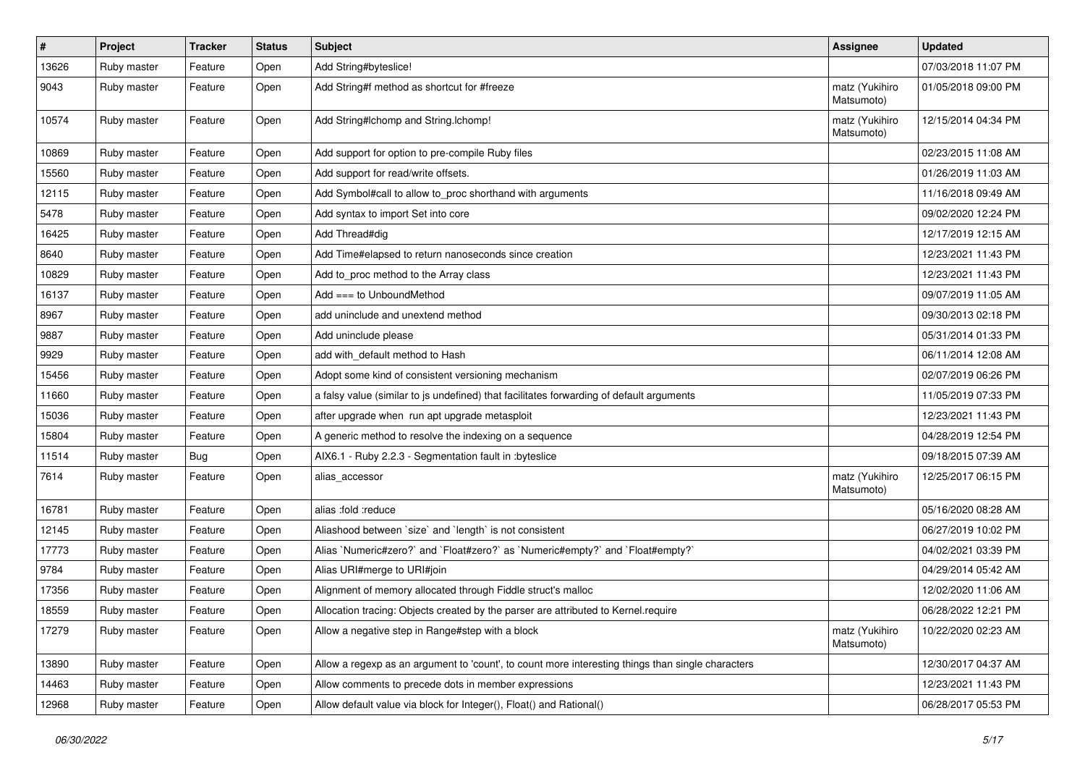| $\sharp$ | Project     | <b>Tracker</b> | <b>Status</b> | Subject                                                                                           | <b>Assignee</b>              | <b>Updated</b>      |
|----------|-------------|----------------|---------------|---------------------------------------------------------------------------------------------------|------------------------------|---------------------|
| 13626    | Ruby master | Feature        | Open          | Add String#byteslice!                                                                             |                              | 07/03/2018 11:07 PM |
| 9043     | Ruby master | Feature        | Open          | Add String#f method as shortcut for #freeze                                                       | matz (Yukihiro<br>Matsumoto) | 01/05/2018 09:00 PM |
| 10574    | Ruby master | Feature        | Open          | Add String#Ichomp and String.Ichomp!                                                              | matz (Yukihiro<br>Matsumoto) | 12/15/2014 04:34 PM |
| 10869    | Ruby master | Feature        | Open          | Add support for option to pre-compile Ruby files                                                  |                              | 02/23/2015 11:08 AM |
| 15560    | Ruby master | Feature        | Open          | Add support for read/write offsets.                                                               |                              | 01/26/2019 11:03 AM |
| 12115    | Ruby master | Feature        | Open          | Add Symbol#call to allow to_proc shorthand with arguments                                         |                              | 11/16/2018 09:49 AM |
| 5478     | Ruby master | Feature        | Open          | Add syntax to import Set into core                                                                |                              | 09/02/2020 12:24 PM |
| 16425    | Ruby master | Feature        | Open          | Add Thread#dig                                                                                    |                              | 12/17/2019 12:15 AM |
| 8640     | Ruby master | Feature        | Open          | Add Time#elapsed to return nanoseconds since creation                                             |                              | 12/23/2021 11:43 PM |
| 10829    | Ruby master | Feature        | Open          | Add to_proc method to the Array class                                                             |                              | 12/23/2021 11:43 PM |
| 16137    | Ruby master | Feature        | Open          | Add $==$ to UnboundMethod                                                                         |                              | 09/07/2019 11:05 AM |
| 8967     | Ruby master | Feature        | Open          | add uninclude and unextend method                                                                 |                              | 09/30/2013 02:18 PM |
| 9887     | Ruby master | Feature        | Open          | Add uninclude please                                                                              |                              | 05/31/2014 01:33 PM |
| 9929     | Ruby master | Feature        | Open          | add with_default method to Hash                                                                   |                              | 06/11/2014 12:08 AM |
| 15456    | Ruby master | Feature        | Open          | Adopt some kind of consistent versioning mechanism                                                |                              | 02/07/2019 06:26 PM |
| 11660    | Ruby master | Feature        | Open          | a falsy value (similar to js undefined) that facilitates forwarding of default arguments          |                              | 11/05/2019 07:33 PM |
| 15036    | Ruby master | Feature        | Open          | after upgrade when run apt upgrade metasploit                                                     |                              | 12/23/2021 11:43 PM |
| 15804    | Ruby master | Feature        | Open          | A generic method to resolve the indexing on a sequence                                            |                              | 04/28/2019 12:54 PM |
| 11514    | Ruby master | Bug            | Open          | AIX6.1 - Ruby 2.2.3 - Segmentation fault in :byteslice                                            |                              | 09/18/2015 07:39 AM |
| 7614     | Ruby master | Feature        | Open          | alias_accessor                                                                                    | matz (Yukihiro<br>Matsumoto) | 12/25/2017 06:15 PM |
| 16781    | Ruby master | Feature        | Open          | alias :fold :reduce                                                                               |                              | 05/16/2020 08:28 AM |
| 12145    | Ruby master | Feature        | Open          | Aliashood between 'size' and 'length' is not consistent                                           |                              | 06/27/2019 10:02 PM |
| 17773    | Ruby master | Feature        | Open          | Alias `Numeric#zero?` and `Float#zero?` as `Numeric#empty?` and `Float#empty?`                    |                              | 04/02/2021 03:39 PM |
| 9784     | Ruby master | Feature        | Open          | Alias URI#merge to URI#join                                                                       |                              | 04/29/2014 05:42 AM |
| 17356    | Ruby master | Feature        | Open          | Alignment of memory allocated through Fiddle struct's malloc                                      |                              | 12/02/2020 11:06 AM |
| 18559    | Ruby master | Feature        | Open          | Allocation tracing: Objects created by the parser are attributed to Kernel.require                |                              | 06/28/2022 12:21 PM |
| 17279    | Ruby master | Feature        | Open          | Allow a negative step in Range#step with a block                                                  | matz (Yukihiro<br>Matsumoto) | 10/22/2020 02:23 AM |
| 13890    | Ruby master | Feature        | Open          | Allow a regexp as an argument to 'count', to count more interesting things than single characters |                              | 12/30/2017 04:37 AM |
| 14463    | Ruby master | Feature        | Open          | Allow comments to precede dots in member expressions                                              |                              | 12/23/2021 11:43 PM |
| 12968    | Ruby master | Feature        | Open          | Allow default value via block for Integer(), Float() and Rational()                               |                              | 06/28/2017 05:53 PM |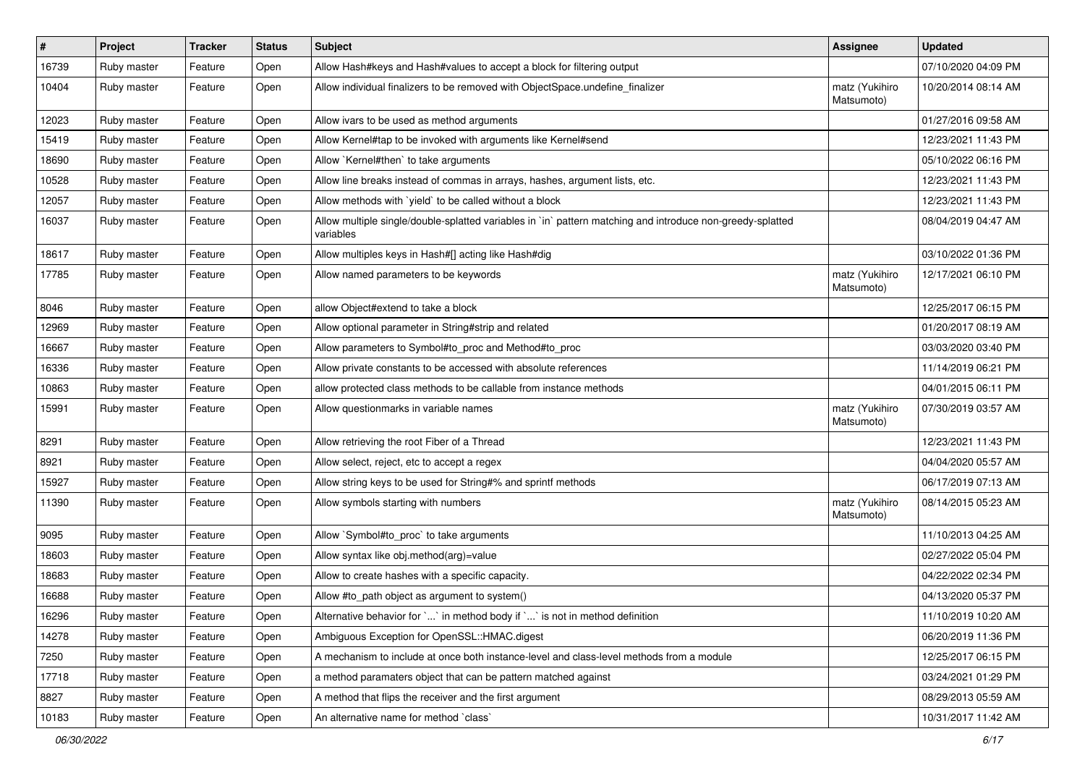| $\vert$ # | Project     | <b>Tracker</b> | <b>Status</b> | <b>Subject</b>                                                                                                          | <b>Assignee</b>              | <b>Updated</b>      |
|-----------|-------------|----------------|---------------|-------------------------------------------------------------------------------------------------------------------------|------------------------------|---------------------|
| 16739     | Ruby master | Feature        | Open          | Allow Hash#keys and Hash#values to accept a block for filtering output                                                  |                              | 07/10/2020 04:09 PM |
| 10404     | Ruby master | Feature        | Open          | Allow individual finalizers to be removed with ObjectSpace.undefine_finalizer                                           | matz (Yukihiro<br>Matsumoto) | 10/20/2014 08:14 AM |
| 12023     | Ruby master | Feature        | Open          | Allow ivars to be used as method arguments                                                                              |                              | 01/27/2016 09:58 AM |
| 15419     | Ruby master | Feature        | Open          | Allow Kernel#tap to be invoked with arguments like Kernel#send                                                          |                              | 12/23/2021 11:43 PM |
| 18690     | Ruby master | Feature        | Open          | Allow `Kernel#then` to take arguments                                                                                   |                              | 05/10/2022 06:16 PM |
| 10528     | Ruby master | Feature        | Open          | Allow line breaks instead of commas in arrays, hashes, argument lists, etc.                                             |                              | 12/23/2021 11:43 PM |
| 12057     | Ruby master | Feature        | Open          | Allow methods with `yield` to be called without a block                                                                 |                              | 12/23/2021 11:43 PM |
| 16037     | Ruby master | Feature        | Open          | Allow multiple single/double-splatted variables in `in` pattern matching and introduce non-greedy-splatted<br>variables |                              | 08/04/2019 04:47 AM |
| 18617     | Ruby master | Feature        | Open          | Allow multiples keys in Hash#[] acting like Hash#dig                                                                    |                              | 03/10/2022 01:36 PM |
| 17785     | Ruby master | Feature        | Open          | Allow named parameters to be keywords                                                                                   | matz (Yukihiro<br>Matsumoto) | 12/17/2021 06:10 PM |
| 8046      | Ruby master | Feature        | Open          | allow Object#extend to take a block                                                                                     |                              | 12/25/2017 06:15 PM |
| 12969     | Ruby master | Feature        | Open          | Allow optional parameter in String#strip and related                                                                    |                              | 01/20/2017 08:19 AM |
| 16667     | Ruby master | Feature        | Open          | Allow parameters to Symbol#to_proc and Method#to_proc                                                                   |                              | 03/03/2020 03:40 PM |
| 16336     | Ruby master | Feature        | Open          | Allow private constants to be accessed with absolute references                                                         |                              | 11/14/2019 06:21 PM |
| 10863     | Ruby master | Feature        | Open          | allow protected class methods to be callable from instance methods                                                      |                              | 04/01/2015 06:11 PM |
| 15991     | Ruby master | Feature        | Open          | Allow questionmarks in variable names                                                                                   | matz (Yukihiro<br>Matsumoto) | 07/30/2019 03:57 AM |
| 8291      | Ruby master | Feature        | Open          | Allow retrieving the root Fiber of a Thread                                                                             |                              | 12/23/2021 11:43 PM |
| 8921      | Ruby master | Feature        | Open          | Allow select, reject, etc to accept a regex                                                                             |                              | 04/04/2020 05:57 AM |
| 15927     | Ruby master | Feature        | Open          | Allow string keys to be used for String#% and sprintf methods                                                           |                              | 06/17/2019 07:13 AM |
| 11390     | Ruby master | Feature        | Open          | Allow symbols starting with numbers                                                                                     | matz (Yukihiro<br>Matsumoto) | 08/14/2015 05:23 AM |
| 9095      | Ruby master | Feature        | Open          | Allow `Symbol#to_proc` to take arguments                                                                                |                              | 11/10/2013 04:25 AM |
| 18603     | Ruby master | Feature        | Open          | Allow syntax like obj.method(arg)=value                                                                                 |                              | 02/27/2022 05:04 PM |
| 18683     | Ruby master | Feature        | Open          | Allow to create hashes with a specific capacity.                                                                        |                              | 04/22/2022 02:34 PM |
| 16688     | Ruby master | Feature        | Open          | Allow #to_path object as argument to system()                                                                           |                              | 04/13/2020 05:37 PM |
| 16296     | Ruby master | Feature        | Open          | Alternative behavior for $\ldots$ in method body if $\ldots$ is not in method definition                                |                              | 11/10/2019 10:20 AM |
| 14278     | Ruby master | Feature        | Open          | Ambiguous Exception for OpenSSL::HMAC.digest                                                                            |                              | 06/20/2019 11:36 PM |
| 7250      | Ruby master | Feature        | Open          | A mechanism to include at once both instance-level and class-level methods from a module                                |                              | 12/25/2017 06:15 PM |
| 17718     | Ruby master | Feature        | Open          | a method paramaters object that can be pattern matched against                                                          |                              | 03/24/2021 01:29 PM |
| 8827      | Ruby master | Feature        | Open          | A method that flips the receiver and the first argument                                                                 |                              | 08/29/2013 05:59 AM |
| 10183     | Ruby master | Feature        | Open          | An alternative name for method `class`                                                                                  |                              | 10/31/2017 11:42 AM |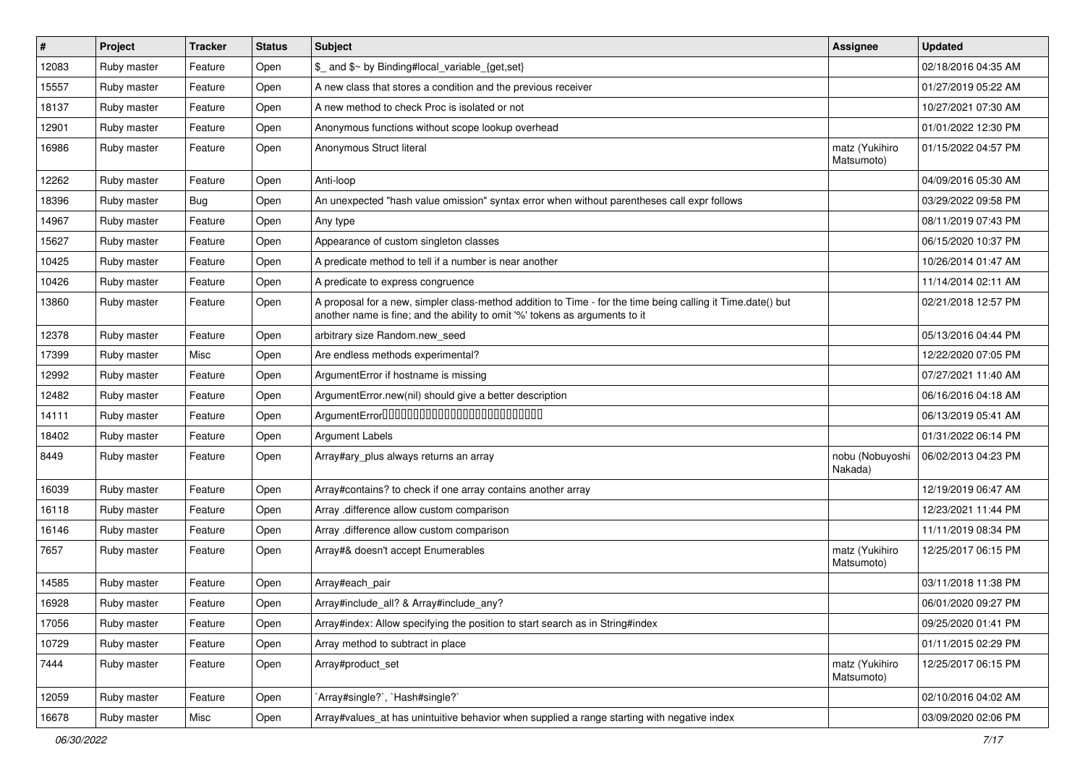| #     | Project     | <b>Tracker</b> | <b>Status</b> | Subject                                                                                                                                                                                    | Assignee                     | <b>Updated</b>      |
|-------|-------------|----------------|---------------|--------------------------------------------------------------------------------------------------------------------------------------------------------------------------------------------|------------------------------|---------------------|
| 12083 | Ruby master | Feature        | Open          | \$_ and \$~ by Binding#local_variable_{get,set}                                                                                                                                            |                              | 02/18/2016 04:35 AM |
| 15557 | Ruby master | Feature        | Open          | A new class that stores a condition and the previous receiver                                                                                                                              |                              | 01/27/2019 05:22 AM |
| 18137 | Ruby master | Feature        | Open          | A new method to check Proc is isolated or not                                                                                                                                              |                              | 10/27/2021 07:30 AM |
| 12901 | Ruby master | Feature        | Open          | Anonymous functions without scope lookup overhead                                                                                                                                          |                              | 01/01/2022 12:30 PM |
| 16986 | Ruby master | Feature        | Open          | Anonymous Struct literal                                                                                                                                                                   | matz (Yukihiro<br>Matsumoto) | 01/15/2022 04:57 PM |
| 12262 | Ruby master | Feature        | Open          | Anti-loop                                                                                                                                                                                  |                              | 04/09/2016 05:30 AM |
| 18396 | Ruby master | <b>Bug</b>     | Open          | An unexpected "hash value omission" syntax error when without parentheses call expr follows                                                                                                |                              | 03/29/2022 09:58 PM |
| 14967 | Ruby master | Feature        | Open          | Any type                                                                                                                                                                                   |                              | 08/11/2019 07:43 PM |
| 15627 | Ruby master | Feature        | Open          | Appearance of custom singleton classes                                                                                                                                                     |                              | 06/15/2020 10:37 PM |
| 10425 | Ruby master | Feature        | Open          | A predicate method to tell if a number is near another                                                                                                                                     |                              | 10/26/2014 01:47 AM |
| 10426 | Ruby master | Feature        | Open          | A predicate to express congruence                                                                                                                                                          |                              | 11/14/2014 02:11 AM |
| 13860 | Ruby master | Feature        | Open          | A proposal for a new, simpler class-method addition to Time - for the time being calling it Time.date() but<br>another name is fine; and the ability to omit '%' tokens as arguments to it |                              | 02/21/2018 12:57 PM |
| 12378 | Ruby master | Feature        | Open          | arbitrary size Random.new_seed                                                                                                                                                             |                              | 05/13/2016 04:44 PM |
| 17399 | Ruby master | Misc           | Open          | Are endless methods experimental?                                                                                                                                                          |                              | 12/22/2020 07:05 PM |
| 12992 | Ruby master | Feature        | Open          | ArgumentError if hostname is missing                                                                                                                                                       |                              | 07/27/2021 11:40 AM |
| 12482 | Ruby master | Feature        | Open          | ArgumentError.new(nil) should give a better description                                                                                                                                    |                              | 06/16/2016 04:18 AM |
| 14111 | Ruby master | Feature        | Open          | ArgumentError00000000000000000000000000                                                                                                                                                    |                              | 06/13/2019 05:41 AM |
| 18402 | Ruby master | Feature        | Open          | <b>Argument Labels</b>                                                                                                                                                                     |                              | 01/31/2022 06:14 PM |
| 8449  | Ruby master | Feature        | Open          | Array#ary_plus always returns an array                                                                                                                                                     | nobu (Nobuyoshi<br>Nakada)   | 06/02/2013 04:23 PM |
| 16039 | Ruby master | Feature        | Open          | Array#contains? to check if one array contains another array                                                                                                                               |                              | 12/19/2019 06:47 AM |
| 16118 | Ruby master | Feature        | Open          | Array .difference allow custom comparison                                                                                                                                                  |                              | 12/23/2021 11:44 PM |
| 16146 | Ruby master | Feature        | Open          | Array .difference allow custom comparison                                                                                                                                                  |                              | 11/11/2019 08:34 PM |
| 7657  | Ruby master | Feature        | Open          | Array#& doesn't accept Enumerables                                                                                                                                                         | matz (Yukihiro<br>Matsumoto) | 12/25/2017 06:15 PM |
| 14585 | Ruby master | Feature        | Open          | Array#each_pair                                                                                                                                                                            |                              | 03/11/2018 11:38 PM |
| 16928 | Ruby master | Feature        | Open          | Array#include_all? & Array#include_any?                                                                                                                                                    |                              | 06/01/2020 09:27 PM |
| 17056 | Ruby master | Feature        | Open          | Array#index: Allow specifying the position to start search as in String#index                                                                                                              |                              | 09/25/2020 01:41 PM |
| 10729 | Ruby master | Feature        | Open          | Array method to subtract in place                                                                                                                                                          |                              | 01/11/2015 02:29 PM |
| 7444  | Ruby master | Feature        | Open          | Array#product_set                                                                                                                                                                          | matz (Yukihiro<br>Matsumoto) | 12/25/2017 06:15 PM |
| 12059 | Ruby master | Feature        | Open          | `Array#single?`, `Hash#single?`                                                                                                                                                            |                              | 02/10/2016 04:02 AM |
| 16678 | Ruby master | Misc           | Open          | Array#values_at has unintuitive behavior when supplied a range starting with negative index                                                                                                |                              | 03/09/2020 02:06 PM |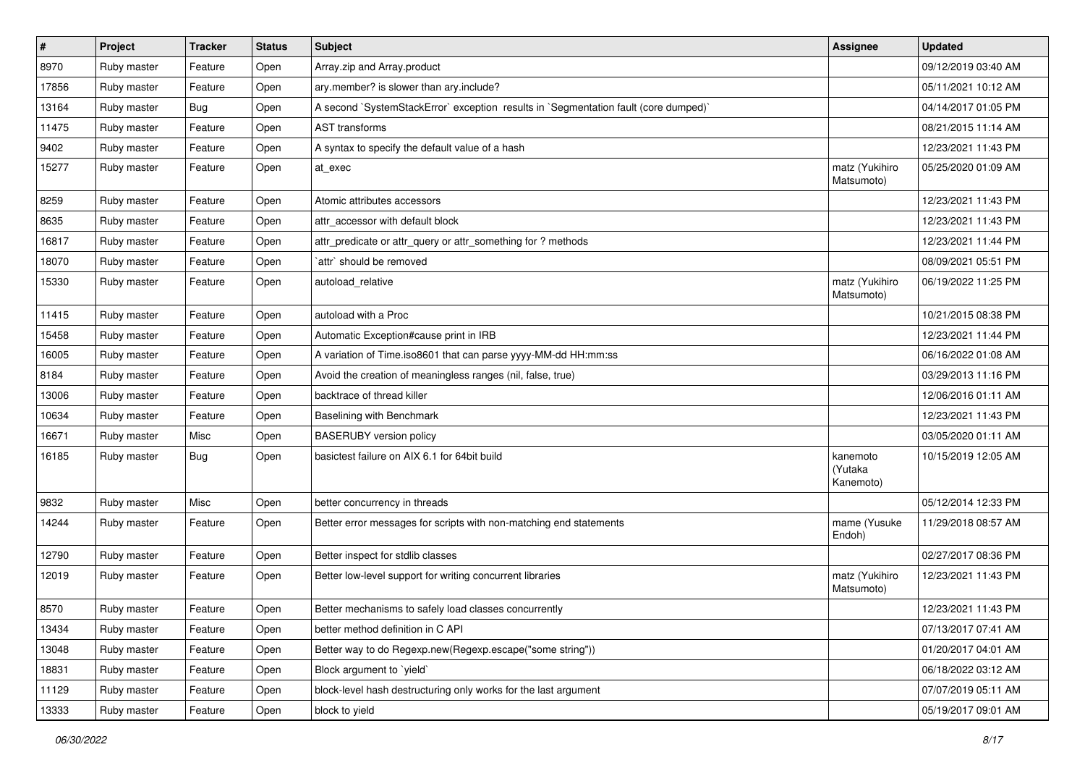| $\pmb{\#}$ | Project     | <b>Tracker</b> | <b>Status</b> | Subject                                                                             | Assignee                         | <b>Updated</b>      |
|------------|-------------|----------------|---------------|-------------------------------------------------------------------------------------|----------------------------------|---------------------|
| 8970       | Ruby master | Feature        | Open          | Array.zip and Array.product                                                         |                                  | 09/12/2019 03:40 AM |
| 17856      | Ruby master | Feature        | Open          | ary.member? is slower than ary.include?                                             |                                  | 05/11/2021 10:12 AM |
| 13164      | Ruby master | <b>Bug</b>     | Open          | A second `SystemStackError` exception results in `Segmentation fault (core dumped)` |                                  | 04/14/2017 01:05 PM |
| 11475      | Ruby master | Feature        | Open          | <b>AST</b> transforms                                                               |                                  | 08/21/2015 11:14 AM |
| 9402       | Ruby master | Feature        | Open          | A syntax to specify the default value of a hash                                     |                                  | 12/23/2021 11:43 PM |
| 15277      | Ruby master | Feature        | Open          | at exec                                                                             | matz (Yukihiro<br>Matsumoto)     | 05/25/2020 01:09 AM |
| 8259       | Ruby master | Feature        | Open          | Atomic attributes accessors                                                         |                                  | 12/23/2021 11:43 PM |
| 8635       | Ruby master | Feature        | Open          | attr accessor with default block                                                    |                                  | 12/23/2021 11:43 PM |
| 16817      | Ruby master | Feature        | Open          | attr_predicate or attr_query or attr_something for ? methods                        |                                  | 12/23/2021 11:44 PM |
| 18070      | Ruby master | Feature        | Open          | `attr` should be removed                                                            |                                  | 08/09/2021 05:51 PM |
| 15330      | Ruby master | Feature        | Open          | autoload relative                                                                   | matz (Yukihiro<br>Matsumoto)     | 06/19/2022 11:25 PM |
| 11415      | Ruby master | Feature        | Open          | autoload with a Proc                                                                |                                  | 10/21/2015 08:38 PM |
| 15458      | Ruby master | Feature        | Open          | Automatic Exception#cause print in IRB                                              |                                  | 12/23/2021 11:44 PM |
| 16005      | Ruby master | Feature        | Open          | A variation of Time.iso8601 that can parse yyyy-MM-dd HH:mm:ss                      |                                  | 06/16/2022 01:08 AM |
| 8184       | Ruby master | Feature        | Open          | Avoid the creation of meaningless ranges (nil, false, true)                         |                                  | 03/29/2013 11:16 PM |
| 13006      | Ruby master | Feature        | Open          | backtrace of thread killer                                                          |                                  | 12/06/2016 01:11 AM |
| 10634      | Ruby master | Feature        | Open          | Baselining with Benchmark                                                           |                                  | 12/23/2021 11:43 PM |
| 16671      | Ruby master | Misc           | Open          | <b>BASERUBY</b> version policy                                                      |                                  | 03/05/2020 01:11 AM |
| 16185      | Ruby master | <b>Bug</b>     | Open          | basictest failure on AIX 6.1 for 64bit build                                        | kanemoto<br>(Yutaka<br>Kanemoto) | 10/15/2019 12:05 AM |
| 9832       | Ruby master | Misc           | Open          | better concurrency in threads                                                       |                                  | 05/12/2014 12:33 PM |
| 14244      | Ruby master | Feature        | Open          | Better error messages for scripts with non-matching end statements                  | mame (Yusuke<br>Endoh)           | 11/29/2018 08:57 AM |
| 12790      | Ruby master | Feature        | Open          | Better inspect for stdlib classes                                                   |                                  | 02/27/2017 08:36 PM |
| 12019      | Ruby master | Feature        | Open          | Better low-level support for writing concurrent libraries                           | matz (Yukihiro<br>Matsumoto)     | 12/23/2021 11:43 PM |
| 8570       | Ruby master | Feature        | Open          | Better mechanisms to safely load classes concurrently                               |                                  | 12/23/2021 11:43 PM |
| 13434      | Ruby master | Feature        | Open          | better method definition in C API                                                   |                                  | 07/13/2017 07:41 AM |
| 13048      | Ruby master | Feature        | Open          | Better way to do Regexp.new(Regexp.escape("some string"))                           |                                  | 01/20/2017 04:01 AM |
| 18831      | Ruby master | Feature        | Open          | Block argument to `yield`                                                           |                                  | 06/18/2022 03:12 AM |
| 11129      | Ruby master | Feature        | Open          | block-level hash destructuring only works for the last argument                     |                                  | 07/07/2019 05:11 AM |
| 13333      | Ruby master | Feature        | Open          | block to yield                                                                      |                                  | 05/19/2017 09:01 AM |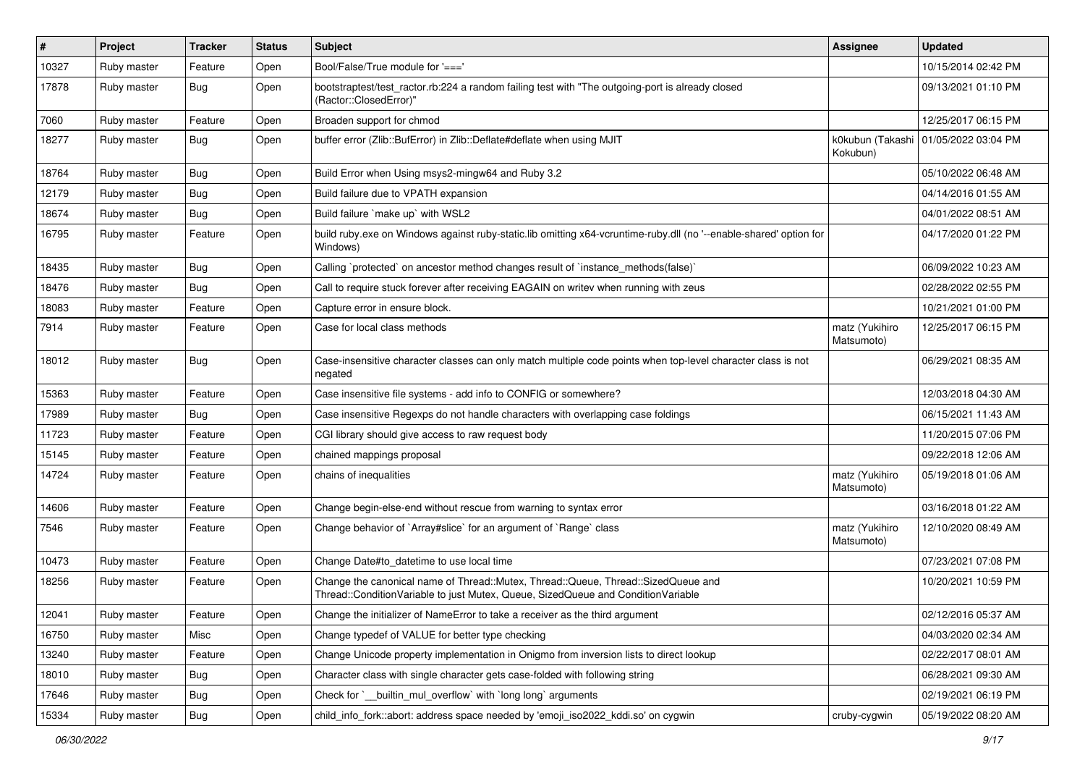| $\vert$ # | Project     | <b>Tracker</b> | <b>Status</b> | Subject                                                                                                                                                               | <b>Assignee</b>              | <b>Updated</b>      |
|-----------|-------------|----------------|---------------|-----------------------------------------------------------------------------------------------------------------------------------------------------------------------|------------------------------|---------------------|
| 10327     | Ruby master | Feature        | Open          | Bool/False/True module for '==='                                                                                                                                      |                              | 10/15/2014 02:42 PM |
| 17878     | Ruby master | <b>Bug</b>     | Open          | bootstraptest/test_ractor.rb:224 a random failing test with "The outgoing-port is already closed<br>(Ractor::ClosedError)"                                            |                              | 09/13/2021 01:10 PM |
| 7060      | Ruby master | Feature        | Open          | Broaden support for chmod                                                                                                                                             |                              | 12/25/2017 06:15 PM |
| 18277     | Ruby master | Bug            | Open          | buffer error (Zlib::BufError) in Zlib::Deflate#deflate when using MJIT                                                                                                | k0kubun (Takashi<br>Kokubun) | 01/05/2022 03:04 PM |
| 18764     | Ruby master | <b>Bug</b>     | Open          | Build Error when Using msys2-mingw64 and Ruby 3.2                                                                                                                     |                              | 05/10/2022 06:48 AM |
| 12179     | Ruby master | <b>Bug</b>     | Open          | Build failure due to VPATH expansion                                                                                                                                  |                              | 04/14/2016 01:55 AM |
| 18674     | Ruby master | <b>Bug</b>     | Open          | Build failure `make up` with WSL2                                                                                                                                     |                              | 04/01/2022 08:51 AM |
| 16795     | Ruby master | Feature        | Open          | build ruby.exe on Windows against ruby-static.lib omitting x64-vcruntime-ruby.dll (no '--enable-shared' option for<br>Windows)                                        |                              | 04/17/2020 01:22 PM |
| 18435     | Ruby master | <b>Bug</b>     | Open          | Calling `protected` on ancestor method changes result of `instance_methods(false)`                                                                                    |                              | 06/09/2022 10:23 AM |
| 18476     | Ruby master | <b>Bug</b>     | Open          | Call to require stuck forever after receiving EAGAIN on writev when running with zeus                                                                                 |                              | 02/28/2022 02:55 PM |
| 18083     | Ruby master | Feature        | Open          | Capture error in ensure block.                                                                                                                                        |                              | 10/21/2021 01:00 PM |
| 7914      | Ruby master | Feature        | Open          | Case for local class methods                                                                                                                                          | matz (Yukihiro<br>Matsumoto) | 12/25/2017 06:15 PM |
| 18012     | Ruby master | Bug            | Open          | Case-insensitive character classes can only match multiple code points when top-level character class is not<br>negated                                               |                              | 06/29/2021 08:35 AM |
| 15363     | Ruby master | Feature        | Open          | Case insensitive file systems - add info to CONFIG or somewhere?                                                                                                      |                              | 12/03/2018 04:30 AM |
| 17989     | Ruby master | Bug            | Open          | Case insensitive Regexps do not handle characters with overlapping case foldings                                                                                      |                              | 06/15/2021 11:43 AM |
| 11723     | Ruby master | Feature        | Open          | CGI library should give access to raw request body                                                                                                                    |                              | 11/20/2015 07:06 PM |
| 15145     | Ruby master | Feature        | Open          | chained mappings proposal                                                                                                                                             |                              | 09/22/2018 12:06 AM |
| 14724     | Ruby master | Feature        | Open          | chains of inequalities                                                                                                                                                | matz (Yukihiro<br>Matsumoto) | 05/19/2018 01:06 AM |
| 14606     | Ruby master | Feature        | Open          | Change begin-else-end without rescue from warning to syntax error                                                                                                     |                              | 03/16/2018 01:22 AM |
| 7546      | Ruby master | Feature        | Open          | Change behavior of `Array#slice` for an argument of `Range` class                                                                                                     | matz (Yukihiro<br>Matsumoto) | 12/10/2020 08:49 AM |
| 10473     | Ruby master | Feature        | Open          | Change Date#to_datetime to use local time                                                                                                                             |                              | 07/23/2021 07:08 PM |
| 18256     | Ruby master | Feature        | Open          | Change the canonical name of Thread::Mutex, Thread::Queue, Thread::SizedQueue and<br>Thread::ConditionVariable to just Mutex, Queue, SizedQueue and ConditionVariable |                              | 10/20/2021 10:59 PM |
| 12041     | Ruby master | Feature        | Open          | Change the initializer of NameError to take a receiver as the third argument                                                                                          |                              | 02/12/2016 05:37 AM |
| 16750     | Ruby master | Misc           | Open          | Change typedef of VALUE for better type checking                                                                                                                      |                              | 04/03/2020 02:34 AM |
| 13240     | Ruby master | Feature        | Open          | Change Unicode property implementation in Onigmo from inversion lists to direct lookup                                                                                |                              | 02/22/2017 08:01 AM |
| 18010     | Ruby master | <b>Bug</b>     | Open          | Character class with single character gets case-folded with following string                                                                                          |                              | 06/28/2021 09:30 AM |
| 17646     | Ruby master | Bug            | Open          | Check for `_builtin_mul_overflow` with `long long` arguments                                                                                                          |                              | 02/19/2021 06:19 PM |
| 15334     | Ruby master | Bug            | Open          | child_info_fork::abort: address space needed by 'emoji_iso2022_kddi.so' on cygwin                                                                                     | cruby-cygwin                 | 05/19/2022 08:20 AM |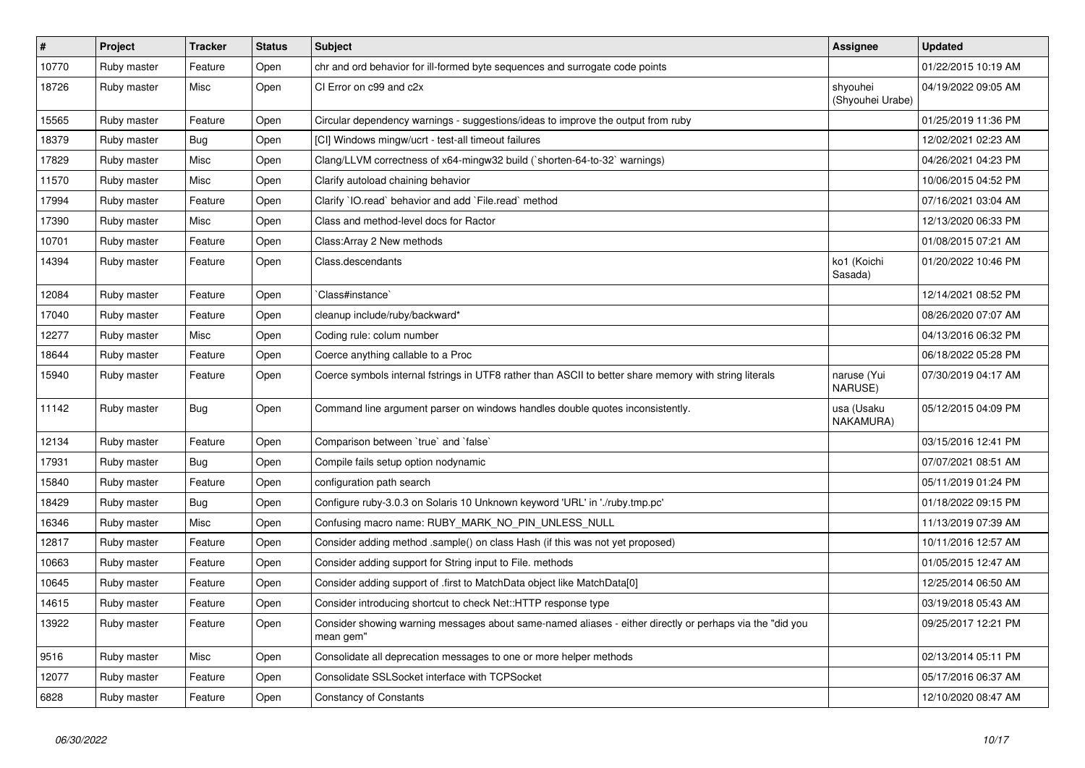| $\vert$ # | Project     | <b>Tracker</b> | <b>Status</b> | <b>Subject</b>                                                                                                        | <b>Assignee</b>              | <b>Updated</b>      |
|-----------|-------------|----------------|---------------|-----------------------------------------------------------------------------------------------------------------------|------------------------------|---------------------|
| 10770     | Ruby master | Feature        | Open          | chr and ord behavior for ill-formed byte sequences and surrogate code points                                          |                              | 01/22/2015 10:19 AM |
| 18726     | Ruby master | Misc           | Open          | CI Error on c99 and c2x                                                                                               | shyouhei<br>(Shyouhei Urabe) | 04/19/2022 09:05 AM |
| 15565     | Ruby master | Feature        | Open          | Circular dependency warnings - suggestions/ideas to improve the output from ruby                                      |                              | 01/25/2019 11:36 PM |
| 18379     | Ruby master | <b>Bug</b>     | Open          | [CI] Windows mingw/ucrt - test-all timeout failures                                                                   |                              | 12/02/2021 02:23 AM |
| 17829     | Ruby master | Misc           | Open          | Clang/LLVM correctness of x64-mingw32 build (`shorten-64-to-32` warnings)                                             |                              | 04/26/2021 04:23 PM |
| 11570     | Ruby master | Misc           | Open          | Clarify autoload chaining behavior                                                                                    |                              | 10/06/2015 04:52 PM |
| 17994     | Ruby master | Feature        | Open          | Clarify 'IO.read' behavior and add 'File.read' method                                                                 |                              | 07/16/2021 03:04 AM |
| 17390     | Ruby master | Misc           | Open          | Class and method-level docs for Ractor                                                                                |                              | 12/13/2020 06:33 PM |
| 10701     | Ruby master | Feature        | Open          | Class: Array 2 New methods                                                                                            |                              | 01/08/2015 07:21 AM |
| 14394     | Ruby master | Feature        | Open          | Class.descendants                                                                                                     | ko1 (Koichi<br>Sasada)       | 01/20/2022 10:46 PM |
| 12084     | Ruby master | Feature        | Open          | Class#instance`                                                                                                       |                              | 12/14/2021 08:52 PM |
| 17040     | Ruby master | Feature        | Open          | cleanup include/ruby/backward*                                                                                        |                              | 08/26/2020 07:07 AM |
| 12277     | Ruby master | Misc           | Open          | Coding rule: colum number                                                                                             |                              | 04/13/2016 06:32 PM |
| 18644     | Ruby master | Feature        | Open          | Coerce anything callable to a Proc                                                                                    |                              | 06/18/2022 05:28 PM |
| 15940     | Ruby master | Feature        | Open          | Coerce symbols internal fstrings in UTF8 rather than ASCII to better share memory with string literals                | naruse (Yui<br>NARUSE)       | 07/30/2019 04:17 AM |
| 11142     | Ruby master | <b>Bug</b>     | Open          | Command line argument parser on windows handles double quotes inconsistently.                                         | usa (Usaku<br>NAKAMURA)      | 05/12/2015 04:09 PM |
| 12134     | Ruby master | Feature        | Open          | Comparison between 'true' and 'false'                                                                                 |                              | 03/15/2016 12:41 PM |
| 17931     | Ruby master | <b>Bug</b>     | Open          | Compile fails setup option nodynamic                                                                                  |                              | 07/07/2021 08:51 AM |
| 15840     | Ruby master | Feature        | Open          | configuration path search                                                                                             |                              | 05/11/2019 01:24 PM |
| 18429     | Ruby master | Bug            | Open          | Configure ruby-3.0.3 on Solaris 10 Unknown keyword 'URL' in './ruby.tmp.pc'                                           |                              | 01/18/2022 09:15 PM |
| 16346     | Ruby master | Misc           | Open          | Confusing macro name: RUBY_MARK_NO_PIN_UNLESS_NULL                                                                    |                              | 11/13/2019 07:39 AM |
| 12817     | Ruby master | Feature        | Open          | Consider adding method .sample() on class Hash (if this was not yet proposed)                                         |                              | 10/11/2016 12:57 AM |
| 10663     | Ruby master | Feature        | Open          | Consider adding support for String input to File. methods                                                             |                              | 01/05/2015 12:47 AM |
| 10645     | Ruby master | Feature        | Open          | Consider adding support of .first to MatchData object like MatchData[0]                                               |                              | 12/25/2014 06:50 AM |
| 14615     | Ruby master | Feature        | Open          | Consider introducing shortcut to check Net::HTTP response type                                                        |                              | 03/19/2018 05:43 AM |
| 13922     | Ruby master | Feature        | Open          | Consider showing warning messages about same-named aliases - either directly or perhaps via the "did you<br>mean gem" |                              | 09/25/2017 12:21 PM |
| 9516      | Ruby master | Misc           | Open          | Consolidate all deprecation messages to one or more helper methods                                                    |                              | 02/13/2014 05:11 PM |
| 12077     | Ruby master | Feature        | Open          | Consolidate SSLSocket interface with TCPSocket                                                                        |                              | 05/17/2016 06:37 AM |
| 6828      | Ruby master | Feature        | Open          | <b>Constancy of Constants</b>                                                                                         |                              | 12/10/2020 08:47 AM |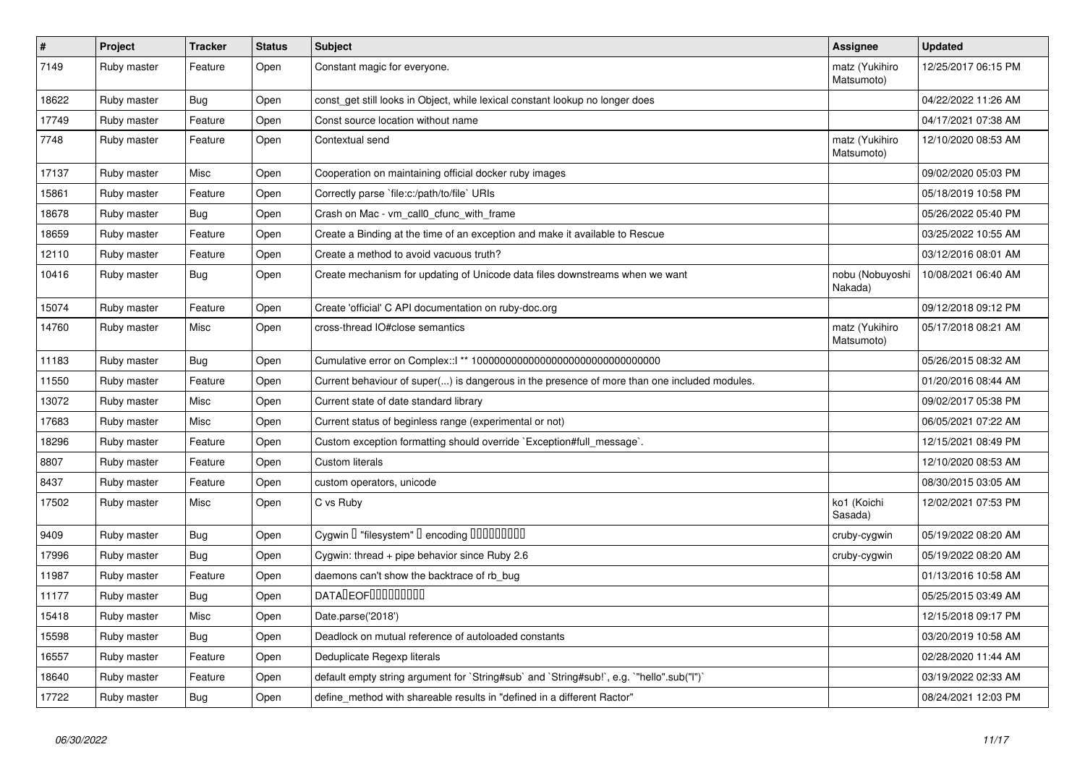| $\pmb{\#}$ | Project     | <b>Tracker</b> | <b>Status</b> | <b>Subject</b>                                                                               | Assignee                     | <b>Updated</b>      |
|------------|-------------|----------------|---------------|----------------------------------------------------------------------------------------------|------------------------------|---------------------|
| 7149       | Ruby master | Feature        | Open          | Constant magic for everyone.                                                                 | matz (Yukihiro<br>Matsumoto) | 12/25/2017 06:15 PM |
| 18622      | Ruby master | <b>Bug</b>     | Open          | const_get still looks in Object, while lexical constant lookup no longer does                |                              | 04/22/2022 11:26 AM |
| 17749      | Ruby master | Feature        | Open          | Const source location without name                                                           |                              | 04/17/2021 07:38 AM |
| 7748       | Ruby master | Feature        | Open          | Contextual send                                                                              | matz (Yukihiro<br>Matsumoto) | 12/10/2020 08:53 AM |
| 17137      | Ruby master | Misc           | Open          | Cooperation on maintaining official docker ruby images                                       |                              | 09/02/2020 05:03 PM |
| 15861      | Ruby master | Feature        | Open          | Correctly parse 'file:c:/path/to/file' URIs                                                  |                              | 05/18/2019 10:58 PM |
| 18678      | Ruby master | Bug            | Open          | Crash on Mac - vm call0 cfunc with frame                                                     |                              | 05/26/2022 05:40 PM |
| 18659      | Ruby master | Feature        | Open          | Create a Binding at the time of an exception and make it available to Rescue                 |                              | 03/25/2022 10:55 AM |
| 12110      | Ruby master | Feature        | Open          | Create a method to avoid vacuous truth?                                                      |                              | 03/12/2016 08:01 AM |
| 10416      | Ruby master | <b>Bug</b>     | Open          | Create mechanism for updating of Unicode data files downstreams when we want                 | nobu (Nobuyoshi<br>Nakada)   | 10/08/2021 06:40 AM |
| 15074      | Ruby master | Feature        | Open          | Create 'official' C API documentation on ruby-doc.org                                        |                              | 09/12/2018 09:12 PM |
| 14760      | Ruby master | Misc           | Open          | cross-thread IO#close semantics                                                              | matz (Yukihiro<br>Matsumoto) | 05/17/2018 08:21 AM |
| 11183      | Ruby master | Bug            | Open          |                                                                                              |                              | 05/26/2015 08:32 AM |
| 11550      | Ruby master | Feature        | Open          | Current behaviour of super() is dangerous in the presence of more than one included modules. |                              | 01/20/2016 08:44 AM |
| 13072      | Ruby master | Misc           | Open          | Current state of date standard library                                                       |                              | 09/02/2017 05:38 PM |
| 17683      | Ruby master | Misc           | Open          | Current status of beginless range (experimental or not)                                      |                              | 06/05/2021 07:22 AM |
| 18296      | Ruby master | Feature        | Open          | Custom exception formatting should override `Exception#full_message`.                        |                              | 12/15/2021 08:49 PM |
| 8807       | Ruby master | Feature        | Open          | <b>Custom literals</b>                                                                       |                              | 12/10/2020 08:53 AM |
| 8437       | Ruby master | Feature        | Open          | custom operators, unicode                                                                    |                              | 08/30/2015 03:05 AM |
| 17502      | Ruby master | Misc           | Open          | C vs Ruby                                                                                    | ko1 (Koichi<br>Sasada)       | 12/02/2021 07:53 PM |
| 9409       | Ruby master | <b>Bug</b>     | Open          | Cygwin I "filesystem" I encoding IIIIIIIIIIIII                                               | cruby-cygwin                 | 05/19/2022 08:20 AM |
| 17996      | Ruby master | Bug            | Open          | Cygwin: thread + pipe behavior since Ruby 2.6                                                | cruby-cygwin                 | 05/19/2022 08:20 AM |
| 11987      | Ruby master | Feature        | Open          | daemons can't show the backtrace of rb_bug                                                   |                              | 01/13/2016 10:58 AM |
| 11177      | Ruby master | <b>Bug</b>     | Open          | <b>DATADEOFOOOOOOOO</b>                                                                      |                              | 05/25/2015 03:49 AM |
| 15418      | Ruby master | Misc           | Open          | Date.parse('2018')                                                                           |                              | 12/15/2018 09:17 PM |
| 15598      | Ruby master | <b>Bug</b>     | Open          | Deadlock on mutual reference of autoloaded constants                                         |                              | 03/20/2019 10:58 AM |
| 16557      | Ruby master | Feature        | Open          | Deduplicate Regexp literals                                                                  |                              | 02/28/2020 11:44 AM |
| 18640      | Ruby master | Feature        | Open          | default empty string argument for `String#sub` and `String#sub!`, e.g. `"hello".sub("I")`    |                              | 03/19/2022 02:33 AM |
| 17722      | Ruby master | Bug            | Open          | define method with shareable results in "defined in a different Ractor"                      |                              | 08/24/2021 12:03 PM |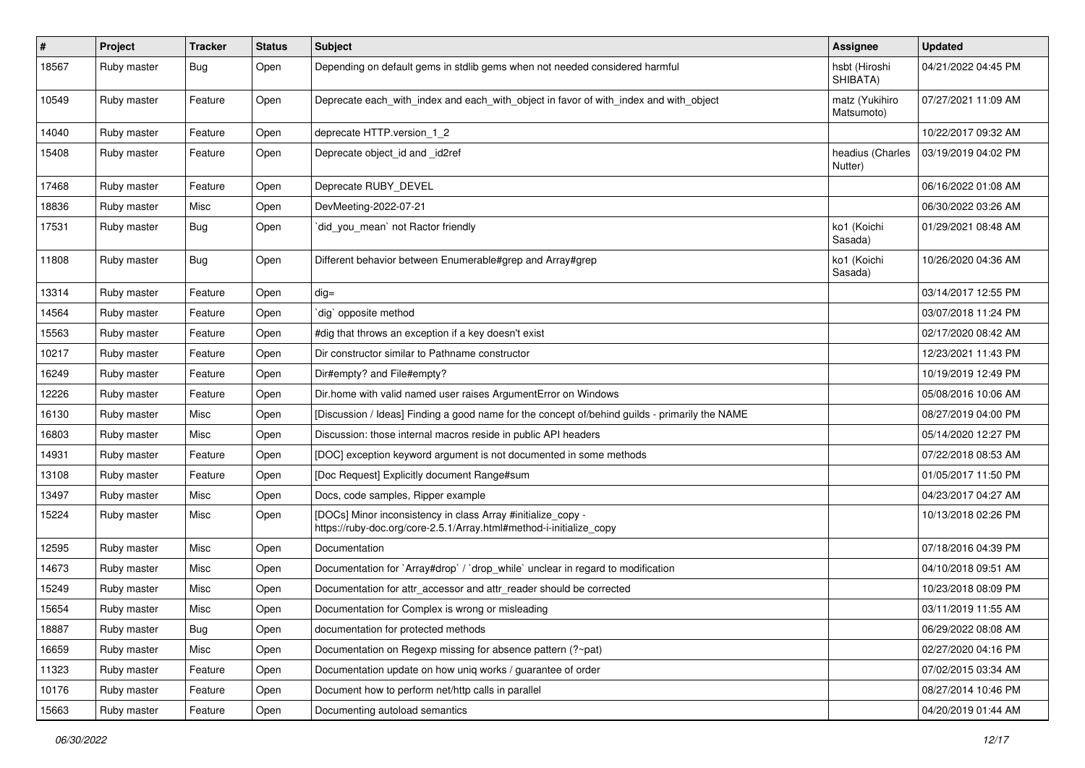| $\sharp$ | Project     | <b>Tracker</b> | <b>Status</b> | <b>Subject</b>                                                                                                                      | <b>Assignee</b>              | <b>Updated</b>      |
|----------|-------------|----------------|---------------|-------------------------------------------------------------------------------------------------------------------------------------|------------------------------|---------------------|
| 18567    | Ruby master | <b>Bug</b>     | Open          | Depending on default gems in stdlib gems when not needed considered harmful                                                         | hsbt (Hiroshi<br>SHIBATA)    | 04/21/2022 04:45 PM |
| 10549    | Ruby master | Feature        | Open          | Deprecate each_with_index and each_with_object in favor of with_index and with_object                                               | matz (Yukihiro<br>Matsumoto) | 07/27/2021 11:09 AM |
| 14040    | Ruby master | Feature        | Open          | deprecate HTTP.version_1_2                                                                                                          |                              | 10/22/2017 09:32 AM |
| 15408    | Ruby master | Feature        | Open          | Deprecate object_id and _id2ref                                                                                                     | headius (Charles<br>Nutter)  | 03/19/2019 04:02 PM |
| 17468    | Ruby master | Feature        | Open          | Deprecate RUBY_DEVEL                                                                                                                |                              | 06/16/2022 01:08 AM |
| 18836    | Ruby master | Misc           | Open          | DevMeeting-2022-07-21                                                                                                               |                              | 06/30/2022 03:26 AM |
| 17531    | Ruby master | <b>Bug</b>     | Open          | did_you_mean` not Ractor friendly                                                                                                   | ko1 (Koichi<br>Sasada)       | 01/29/2021 08:48 AM |
| 11808    | Ruby master | <b>Bug</b>     | Open          | Different behavior between Enumerable#grep and Array#grep                                                                           | ko1 (Koichi<br>Sasada)       | 10/26/2020 04:36 AM |
| 13314    | Ruby master | Feature        | Open          | $dig =$                                                                                                                             |                              | 03/14/2017 12:55 PM |
| 14564    | Ruby master | Feature        | Open          | `dig` opposite method                                                                                                               |                              | 03/07/2018 11:24 PM |
| 15563    | Ruby master | Feature        | Open          | #dig that throws an exception if a key doesn't exist                                                                                |                              | 02/17/2020 08:42 AM |
| 10217    | Ruby master | Feature        | Open          | Dir constructor similar to Pathname constructor                                                                                     |                              | 12/23/2021 11:43 PM |
| 16249    | Ruby master | Feature        | Open          | Dir#empty? and File#empty?                                                                                                          |                              | 10/19/2019 12:49 PM |
| 12226    | Ruby master | Feature        | Open          | Dir.home with valid named user raises ArgumentError on Windows                                                                      |                              | 05/08/2016 10:06 AM |
| 16130    | Ruby master | Misc           | Open          | [Discussion / Ideas] Finding a good name for the concept of/behind guilds - primarily the NAME                                      |                              | 08/27/2019 04:00 PM |
| 16803    | Ruby master | Misc           | Open          | Discussion: those internal macros reside in public API headers                                                                      |                              | 05/14/2020 12:27 PM |
| 14931    | Ruby master | Feature        | Open          | [DOC] exception keyword argument is not documented in some methods                                                                  |                              | 07/22/2018 08:53 AM |
| 13108    | Ruby master | Feature        | Open          | [Doc Request] Explicitly document Range#sum                                                                                         |                              | 01/05/2017 11:50 PM |
| 13497    | Ruby master | Misc           | Open          | Docs, code samples, Ripper example                                                                                                  |                              | 04/23/2017 04:27 AM |
| 15224    | Ruby master | Misc           | Open          | [DOCs] Minor inconsistency in class Array #initialize_copy -<br>https://ruby-doc.org/core-2.5.1/Array.html#method-i-initialize_copy |                              | 10/13/2018 02:26 PM |
| 12595    | Ruby master | Misc           | Open          | Documentation                                                                                                                       |                              | 07/18/2016 04:39 PM |
| 14673    | Ruby master | Misc           | Open          | Documentation for `Array#drop` / `drop_while` unclear in regard to modification                                                     |                              | 04/10/2018 09:51 AM |
| 15249    | Ruby master | Misc           | Open          | Documentation for attr_accessor and attr_reader should be corrected                                                                 |                              | 10/23/2018 08:09 PM |
| 15654    | Ruby master | Misc           | Open          | Documentation for Complex is wrong or misleading                                                                                    |                              | 03/11/2019 11:55 AM |
| 18887    | Ruby master | Bug            | Open          | documentation for protected methods                                                                                                 |                              | 06/29/2022 08:08 AM |
| 16659    | Ruby master | Misc           | Open          | Documentation on Regexp missing for absence pattern (?~pat)                                                                         |                              | 02/27/2020 04:16 PM |
| 11323    | Ruby master | Feature        | Open          | Documentation update on how uniq works / guarantee of order                                                                         |                              | 07/02/2015 03:34 AM |
| 10176    | Ruby master | Feature        | Open          | Document how to perform net/http calls in parallel                                                                                  |                              | 08/27/2014 10:46 PM |
| 15663    | Ruby master | Feature        | Open          | Documenting autoload semantics                                                                                                      |                              | 04/20/2019 01:44 AM |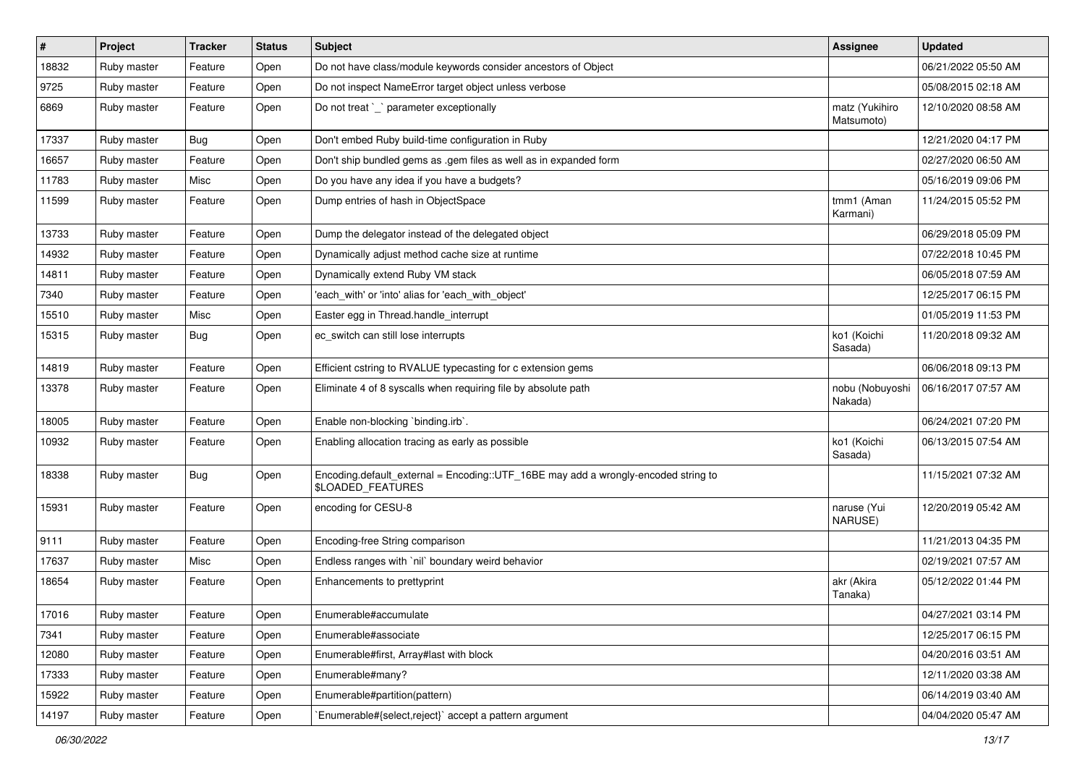| $\vert$ # | Project     | <b>Tracker</b> | <b>Status</b> | <b>Subject</b>                                                                                          | <b>Assignee</b>              | <b>Updated</b>      |
|-----------|-------------|----------------|---------------|---------------------------------------------------------------------------------------------------------|------------------------------|---------------------|
| 18832     | Ruby master | Feature        | Open          | Do not have class/module keywords consider ancestors of Object                                          |                              | 06/21/2022 05:50 AM |
| 9725      | Ruby master | Feature        | Open          | Do not inspect NameError target object unless verbose                                                   |                              | 05/08/2015 02:18 AM |
| 6869      | Ruby master | Feature        | Open          | Do not treat `_` parameter exceptionally                                                                | matz (Yukihiro<br>Matsumoto) | 12/10/2020 08:58 AM |
| 17337     | Ruby master | <b>Bug</b>     | Open          | Don't embed Ruby build-time configuration in Ruby                                                       |                              | 12/21/2020 04:17 PM |
| 16657     | Ruby master | Feature        | Open          | Don't ship bundled gems as .gem files as well as in expanded form                                       |                              | 02/27/2020 06:50 AM |
| 11783     | Ruby master | Misc           | Open          | Do you have any idea if you have a budgets?                                                             |                              | 05/16/2019 09:06 PM |
| 11599     | Ruby master | Feature        | Open          | Dump entries of hash in ObjectSpace                                                                     | tmm1 (Aman<br>Karmani)       | 11/24/2015 05:52 PM |
| 13733     | Ruby master | Feature        | Open          | Dump the delegator instead of the delegated object                                                      |                              | 06/29/2018 05:09 PM |
| 14932     | Ruby master | Feature        | Open          | Dynamically adjust method cache size at runtime                                                         |                              | 07/22/2018 10:45 PM |
| 14811     | Ruby master | Feature        | Open          | Dynamically extend Ruby VM stack                                                                        |                              | 06/05/2018 07:59 AM |
| 7340      | Ruby master | Feature        | Open          | 'each_with' or 'into' alias for 'each_with_object'                                                      |                              | 12/25/2017 06:15 PM |
| 15510     | Ruby master | Misc           | Open          | Easter egg in Thread.handle_interrupt                                                                   |                              | 01/05/2019 11:53 PM |
| 15315     | Ruby master | <b>Bug</b>     | Open          | ec_switch can still lose interrupts                                                                     | ko1 (Koichi<br>Sasada)       | 11/20/2018 09:32 AM |
| 14819     | Ruby master | Feature        | Open          | Efficient cstring to RVALUE typecasting for c extension gems                                            |                              | 06/06/2018 09:13 PM |
| 13378     | Ruby master | Feature        | Open          | Eliminate 4 of 8 syscalls when requiring file by absolute path                                          | nobu (Nobuyoshi<br>Nakada)   | 06/16/2017 07:57 AM |
| 18005     | Ruby master | Feature        | Open          | Enable non-blocking `binding.irb`.                                                                      |                              | 06/24/2021 07:20 PM |
| 10932     | Ruby master | Feature        | Open          | Enabling allocation tracing as early as possible                                                        | ko1 (Koichi<br>Sasada)       | 06/13/2015 07:54 AM |
| 18338     | Ruby master | <b>Bug</b>     | Open          | Encoding.default_external = Encoding::UTF_16BE may add a wrongly-encoded string to<br>\$LOADED_FEATURES |                              | 11/15/2021 07:32 AM |
| 15931     | Ruby master | Feature        | Open          | encoding for CESU-8                                                                                     | naruse (Yui<br>NARUSE)       | 12/20/2019 05:42 AM |
| 9111      | Ruby master | Feature        | Open          | Encoding-free String comparison                                                                         |                              | 11/21/2013 04:35 PM |
| 17637     | Ruby master | Misc           | Open          | Endless ranges with 'nil' boundary weird behavior                                                       |                              | 02/19/2021 07:57 AM |
| 18654     | Ruby master | Feature        | Open          | Enhancements to prettyprint                                                                             | akr (Akira<br>Tanaka)        | 05/12/2022 01:44 PM |
| 17016     | Ruby master | Feature        | Open          | Enumerable#accumulate                                                                                   |                              | 04/27/2021 03:14 PM |
| 7341      | Ruby master | Feature        | Open          | Enumerable#associate                                                                                    |                              | 12/25/2017 06:15 PM |
| 12080     | Ruby master | Feature        | Open          | Enumerable#first, Array#last with block                                                                 |                              | 04/20/2016 03:51 AM |
| 17333     | Ruby master | Feature        | Open          | Enumerable#many?                                                                                        |                              | 12/11/2020 03:38 AM |
| 15922     | Ruby master | Feature        | Open          | Enumerable#partition(pattern)                                                                           |                              | 06/14/2019 03:40 AM |
| 14197     | Ruby master | Feature        | Open          | `Enumerable#{select,reject}` accept a pattern argument                                                  |                              | 04/04/2020 05:47 AM |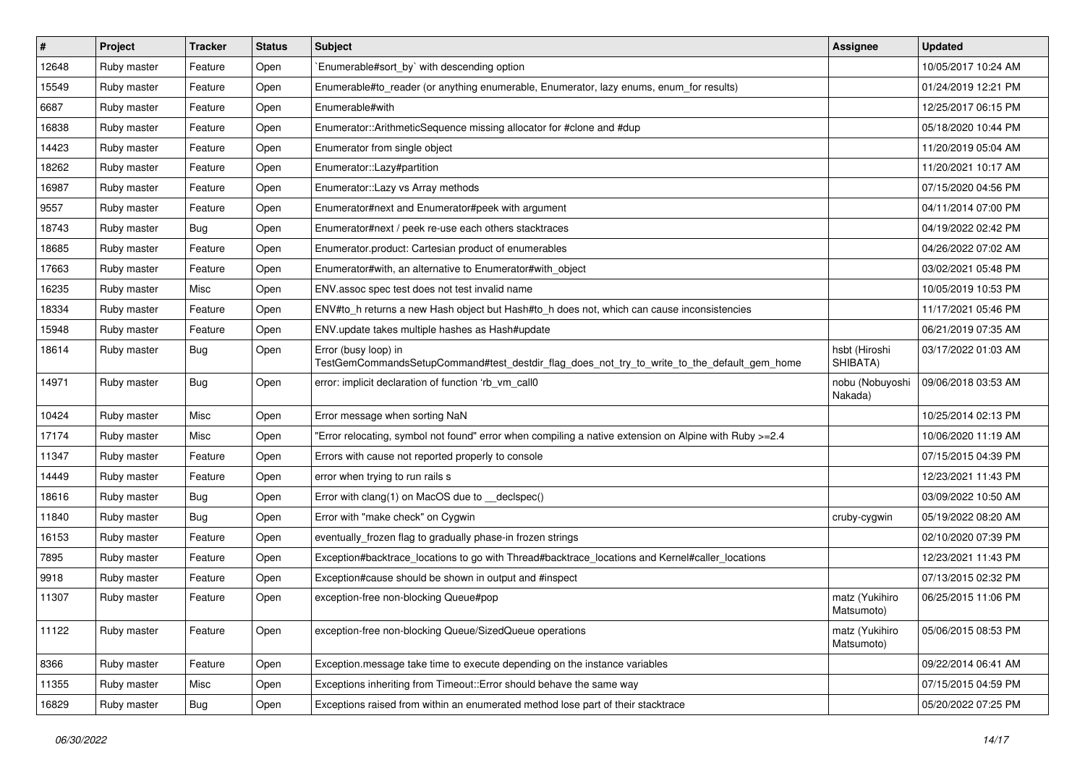| $\vert$ # | Project     | <b>Tracker</b> | <b>Status</b> | <b>Subject</b>                                                                                                      | Assignee                     | <b>Updated</b>      |
|-----------|-------------|----------------|---------------|---------------------------------------------------------------------------------------------------------------------|------------------------------|---------------------|
| 12648     | Ruby master | Feature        | Open          | `Enumerable#sort_by` with descending option                                                                         |                              | 10/05/2017 10:24 AM |
| 15549     | Ruby master | Feature        | Open          | Enumerable#to_reader (or anything enumerable, Enumerator, lazy enums, enum_for results)                             |                              | 01/24/2019 12:21 PM |
| 6687      | Ruby master | Feature        | Open          | Enumerable#with                                                                                                     |                              | 12/25/2017 06:15 PM |
| 16838     | Ruby master | Feature        | Open          | Enumerator::ArithmeticSequence missing allocator for #clone and #dup                                                |                              | 05/18/2020 10:44 PM |
| 14423     | Ruby master | Feature        | Open          | Enumerator from single object                                                                                       |                              | 11/20/2019 05:04 AM |
| 18262     | Ruby master | Feature        | Open          | Enumerator::Lazy#partition                                                                                          |                              | 11/20/2021 10:17 AM |
| 16987     | Ruby master | Feature        | Open          | Enumerator::Lazy vs Array methods                                                                                   |                              | 07/15/2020 04:56 PM |
| 9557      | Ruby master | Feature        | Open          | Enumerator#next and Enumerator#peek with argument                                                                   |                              | 04/11/2014 07:00 PM |
| 18743     | Ruby master | <b>Bug</b>     | Open          | Enumerator#next / peek re-use each others stacktraces                                                               |                              | 04/19/2022 02:42 PM |
| 18685     | Ruby master | Feature        | Open          | Enumerator.product: Cartesian product of enumerables                                                                |                              | 04/26/2022 07:02 AM |
| 17663     | Ruby master | Feature        | Open          | Enumerator#with, an alternative to Enumerator#with object                                                           |                              | 03/02/2021 05:48 PM |
| 16235     | Ruby master | Misc           | Open          | ENV.assoc spec test does not test invalid name                                                                      |                              | 10/05/2019 10:53 PM |
| 18334     | Ruby master | Feature        | Open          | ENV#to_h returns a new Hash object but Hash#to_h does not, which can cause inconsistencies                          |                              | 11/17/2021 05:46 PM |
| 15948     | Ruby master | Feature        | Open          | ENV.update takes multiple hashes as Hash#update                                                                     |                              | 06/21/2019 07:35 AM |
| 18614     | Ruby master | <b>Bug</b>     | Open          | Error (busy loop) in<br>TestGemCommandsSetupCommand#test_destdir_flag_does_not_try_to_write_to_the_default_gem_home | hsbt (Hiroshi<br>SHIBATA)    | 03/17/2022 01:03 AM |
| 14971     | Ruby master | <b>Bug</b>     | Open          | error: implicit declaration of function 'rb_vm_call0                                                                | nobu (Nobuyoshi<br>Nakada)   | 09/06/2018 03:53 AM |
| 10424     | Ruby master | Misc           | Open          | Error message when sorting NaN                                                                                      |                              | 10/25/2014 02:13 PM |
| 17174     | Ruby master | Misc           | Open          | "Error relocating, symbol not found" error when compiling a native extension on Alpine with Ruby >=2.4              |                              | 10/06/2020 11:19 AM |
| 11347     | Ruby master | Feature        | Open          | Errors with cause not reported properly to console                                                                  |                              | 07/15/2015 04:39 PM |
| 14449     | Ruby master | Feature        | Open          | error when trying to run rails s                                                                                    |                              | 12/23/2021 11:43 PM |
| 18616     | Ruby master | Bug            | Open          | Error with clang(1) on MacOS due to _declspec()                                                                     |                              | 03/09/2022 10:50 AM |
| 11840     | Ruby master | <b>Bug</b>     | Open          | Error with "make check" on Cygwin                                                                                   | cruby-cygwin                 | 05/19/2022 08:20 AM |
| 16153     | Ruby master | Feature        | Open          | eventually_frozen flag to gradually phase-in frozen strings                                                         |                              | 02/10/2020 07:39 PM |
| 7895      | Ruby master | Feature        | Open          | Exception#backtrace_locations to go with Thread#backtrace_locations and Kernel#caller_locations                     |                              | 12/23/2021 11:43 PM |
| 9918      | Ruby master | Feature        | Open          | Exception#cause should be shown in output and #inspect                                                              |                              | 07/13/2015 02:32 PM |
| 11307     | Ruby master | Feature        | Open          | exception-free non-blocking Queue#pop                                                                               | matz (Yukihiro<br>Matsumoto) | 06/25/2015 11:06 PM |
| 11122     | Ruby master | Feature        | Open          | exception-free non-blocking Queue/SizedQueue operations                                                             | matz (Yukihiro<br>Matsumoto) | 05/06/2015 08:53 PM |
| 8366      | Ruby master | Feature        | Open          | Exception.message take time to execute depending on the instance variables                                          |                              | 09/22/2014 06:41 AM |
| 11355     | Ruby master | Misc           | Open          | Exceptions inheriting from Timeout:: Error should behave the same way                                               |                              | 07/15/2015 04:59 PM |
| 16829     | Ruby master | <b>Bug</b>     | Open          | Exceptions raised from within an enumerated method lose part of their stacktrace                                    |                              | 05/20/2022 07:25 PM |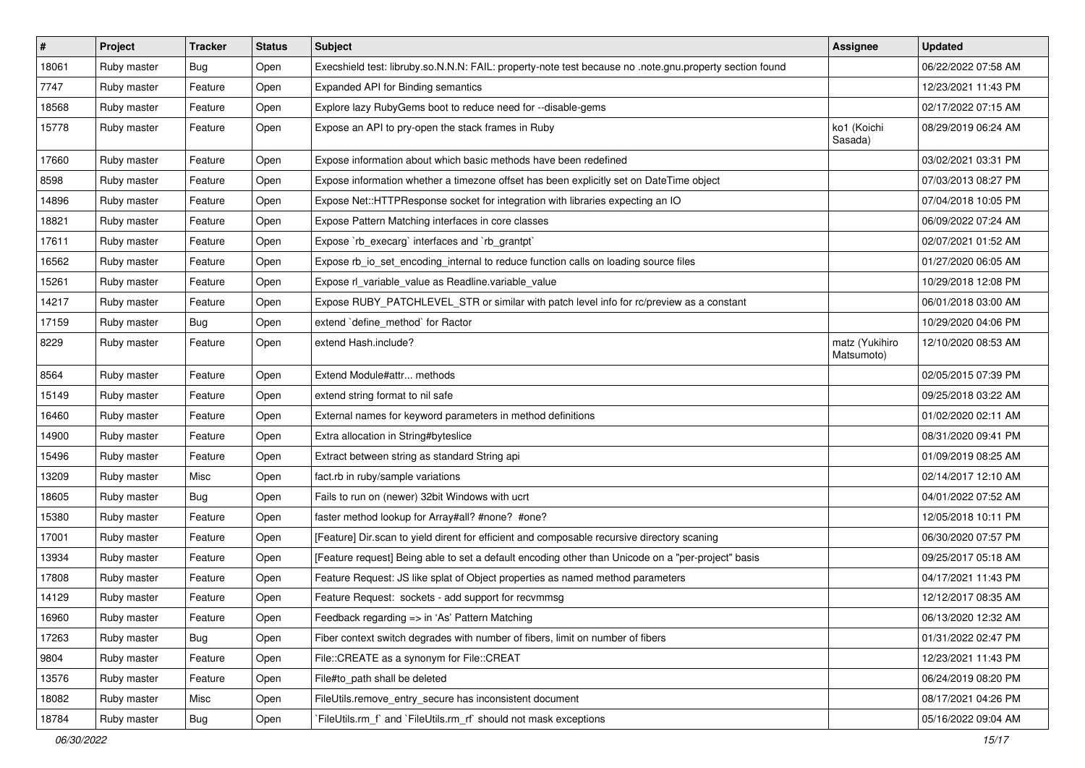| $\vert$ # | Project     | <b>Tracker</b> | <b>Status</b> | <b>Subject</b>                                                                                          | <b>Assignee</b>              | <b>Updated</b>      |
|-----------|-------------|----------------|---------------|---------------------------------------------------------------------------------------------------------|------------------------------|---------------------|
| 18061     | Ruby master | <b>Bug</b>     | Open          | Execshield test: libruby.so.N.N.N: FAIL: property-note test because no .note.gnu.property section found |                              | 06/22/2022 07:58 AM |
| 7747      | Ruby master | Feature        | Open          | Expanded API for Binding semantics                                                                      |                              | 12/23/2021 11:43 PM |
| 18568     | Ruby master | Feature        | Open          | Explore lazy RubyGems boot to reduce need for --disable-gems                                            |                              | 02/17/2022 07:15 AM |
| 15778     | Ruby master | Feature        | Open          | Expose an API to pry-open the stack frames in Ruby                                                      | ko1 (Koichi<br>Sasada)       | 08/29/2019 06:24 AM |
| 17660     | Ruby master | Feature        | Open          | Expose information about which basic methods have been redefined                                        |                              | 03/02/2021 03:31 PM |
| 8598      | Ruby master | Feature        | Open          | Expose information whether a timezone offset has been explicitly set on DateTime object                 |                              | 07/03/2013 08:27 PM |
| 14896     | Ruby master | Feature        | Open          | Expose Net:: HTTPResponse socket for integration with libraries expecting an IO                         |                              | 07/04/2018 10:05 PM |
| 18821     | Ruby master | Feature        | Open          | Expose Pattern Matching interfaces in core classes                                                      |                              | 06/09/2022 07:24 AM |
| 17611     | Ruby master | Feature        | Open          | Expose `rb_execarg` interfaces and `rb_grantpt`                                                         |                              | 02/07/2021 01:52 AM |
| 16562     | Ruby master | Feature        | Open          | Expose rb_io_set_encoding_internal to reduce function calls on loading source files                     |                              | 01/27/2020 06:05 AM |
| 15261     | Ruby master | Feature        | Open          | Expose rl_variable_value as Readline.variable_value                                                     |                              | 10/29/2018 12:08 PM |
| 14217     | Ruby master | Feature        | Open          | Expose RUBY_PATCHLEVEL_STR or similar with patch level info for rc/preview as a constant                |                              | 06/01/2018 03:00 AM |
| 17159     | Ruby master | <b>Bug</b>     | Open          | extend 'define_method' for Ractor                                                                       |                              | 10/29/2020 04:06 PM |
| 8229      | Ruby master | Feature        | Open          | extend Hash.include?                                                                                    | matz (Yukihiro<br>Matsumoto) | 12/10/2020 08:53 AM |
| 8564      | Ruby master | Feature        | Open          | Extend Module#attr methods                                                                              |                              | 02/05/2015 07:39 PM |
| 15149     | Ruby master | Feature        | Open          | extend string format to nil safe                                                                        |                              | 09/25/2018 03:22 AM |
| 16460     | Ruby master | Feature        | Open          | External names for keyword parameters in method definitions                                             |                              | 01/02/2020 02:11 AM |
| 14900     | Ruby master | Feature        | Open          | Extra allocation in String#byteslice                                                                    |                              | 08/31/2020 09:41 PM |
| 15496     | Ruby master | Feature        | Open          | Extract between string as standard String api                                                           |                              | 01/09/2019 08:25 AM |
| 13209     | Ruby master | Misc           | Open          | fact.rb in ruby/sample variations                                                                       |                              | 02/14/2017 12:10 AM |
| 18605     | Ruby master | Bug            | Open          | Fails to run on (newer) 32bit Windows with ucrt                                                         |                              | 04/01/2022 07:52 AM |
| 15380     | Ruby master | Feature        | Open          | faster method lookup for Array#all? #none? #one?                                                        |                              | 12/05/2018 10:11 PM |
| 17001     | Ruby master | Feature        | Open          | [Feature] Dir.scan to yield dirent for efficient and composable recursive directory scaning             |                              | 06/30/2020 07:57 PM |
| 13934     | Ruby master | Feature        | Open          | [Feature request] Being able to set a default encoding other than Unicode on a "per-project" basis      |                              | 09/25/2017 05:18 AM |
| 17808     | Ruby master | Feature        | Open          | Feature Request: JS like splat of Object properties as named method parameters                          |                              | 04/17/2021 11:43 PM |
| 14129     | Ruby master | Feature        | Open          | Feature Request: sockets - add support for recvmmsg                                                     |                              | 12/12/2017 08:35 AM |
| 16960     | Ruby master | Feature        | Open          | Feedback regarding => in 'As' Pattern Matching                                                          |                              | 06/13/2020 12:32 AM |
| 17263     | Ruby master | Bug            | Open          | Fiber context switch degrades with number of fibers, limit on number of fibers                          |                              | 01/31/2022 02:47 PM |
| 9804      | Ruby master | Feature        | Open          | File::CREATE as a synonym for File::CREAT                                                               |                              | 12/23/2021 11:43 PM |
| 13576     | Ruby master | Feature        | Open          | File#to path shall be deleted                                                                           |                              | 06/24/2019 08:20 PM |
| 18082     | Ruby master | Misc           | Open          | FileUtils.remove_entry_secure has inconsistent document                                                 |                              | 08/17/2021 04:26 PM |
| 18784     | Ruby master | Bug            | Open          | `FileUtils.rm_f` and `FileUtils.rm_rf` should not mask exceptions                                       |                              | 05/16/2022 09:04 AM |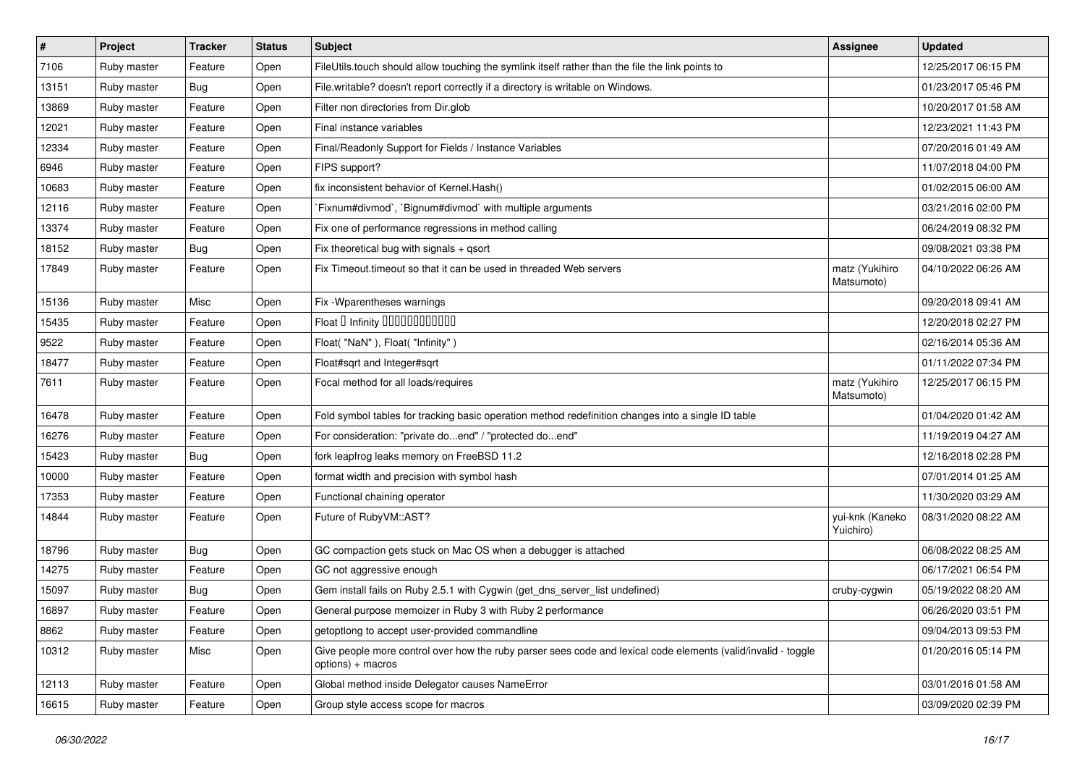| $\pmb{\sharp}$ | Project     | <b>Tracker</b> | <b>Status</b> | Subject                                                                                                                            | Assignee                     | <b>Updated</b>      |
|----------------|-------------|----------------|---------------|------------------------------------------------------------------------------------------------------------------------------------|------------------------------|---------------------|
| 7106           | Ruby master | Feature        | Open          | FileUtils.touch should allow touching the symlink itself rather than the file the link points to                                   |                              | 12/25/2017 06:15 PM |
| 13151          | Ruby master | Bug            | Open          | File.writable? doesn't report correctly if a directory is writable on Windows.                                                     |                              | 01/23/2017 05:46 PM |
| 13869          | Ruby master | Feature        | Open          | Filter non directories from Dir.glob                                                                                               |                              | 10/20/2017 01:58 AM |
| 12021          | Ruby master | Feature        | Open          | Final instance variables                                                                                                           |                              | 12/23/2021 11:43 PM |
| 12334          | Ruby master | Feature        | Open          | Final/Readonly Support for Fields / Instance Variables                                                                             |                              | 07/20/2016 01:49 AM |
| 6946           | Ruby master | Feature        | Open          | FIPS support?                                                                                                                      |                              | 11/07/2018 04:00 PM |
| 10683          | Ruby master | Feature        | Open          | fix inconsistent behavior of Kernel. Hash()                                                                                        |                              | 01/02/2015 06:00 AM |
| 12116          | Ruby master | Feature        | Open          | Fixnum#divmod`, `Bignum#divmod` with multiple arguments                                                                            |                              | 03/21/2016 02:00 PM |
| 13374          | Ruby master | Feature        | Open          | Fix one of performance regressions in method calling                                                                               |                              | 06/24/2019 08:32 PM |
| 18152          | Ruby master | Bug            | Open          | Fix theoretical bug with signals + qsort                                                                                           |                              | 09/08/2021 03:38 PM |
| 17849          | Ruby master | Feature        | Open          | Fix Timeout timeout so that it can be used in threaded Web servers                                                                 | matz (Yukihiro<br>Matsumoto) | 04/10/2022 06:26 AM |
| 15136          | Ruby master | Misc           | Open          | Fix - Wparentheses warnings                                                                                                        |                              | 09/20/2018 09:41 AM |
| 15435          | Ruby master | Feature        | Open          | Float D Infinity 000000000000                                                                                                      |                              | 12/20/2018 02:27 PM |
| 9522           | Ruby master | Feature        | Open          | Float("NaN"), Float("Infinity")                                                                                                    |                              | 02/16/2014 05:36 AM |
| 18477          | Ruby master | Feature        | Open          | Float#sqrt and Integer#sqrt                                                                                                        |                              | 01/11/2022 07:34 PM |
| 7611           | Ruby master | Feature        | Open          | Focal method for all loads/requires                                                                                                | matz (Yukihiro<br>Matsumoto) | 12/25/2017 06:15 PM |
| 16478          | Ruby master | Feature        | Open          | Fold symbol tables for tracking basic operation method redefinition changes into a single ID table                                 |                              | 01/04/2020 01:42 AM |
| 16276          | Ruby master | Feature        | Open          | For consideration: "private doend" / "protected doend"                                                                             |                              | 11/19/2019 04:27 AM |
| 15423          | Ruby master | Bug            | Open          | fork leapfrog leaks memory on FreeBSD 11.2                                                                                         |                              | 12/16/2018 02:28 PM |
| 10000          | Ruby master | Feature        | Open          | format width and precision with symbol hash                                                                                        |                              | 07/01/2014 01:25 AM |
| 17353          | Ruby master | Feature        | Open          | Functional chaining operator                                                                                                       |                              | 11/30/2020 03:29 AM |
| 14844          | Ruby master | Feature        | Open          | Future of RubyVM::AST?                                                                                                             | yui-knk (Kaneko<br>Yuichiro) | 08/31/2020 08:22 AM |
| 18796          | Ruby master | Bug            | Open          | GC compaction gets stuck on Mac OS when a debugger is attached                                                                     |                              | 06/08/2022 08:25 AM |
| 14275          | Ruby master | Feature        | Open          | GC not aggressive enough                                                                                                           |                              | 06/17/2021 06:54 PM |
| 15097          | Ruby master | Bug            | Open          | Gem install fails on Ruby 2.5.1 with Cygwin (get_dns_server_list undefined)                                                        | cruby-cygwin                 | 05/19/2022 08:20 AM |
| 16897          | Ruby master | Feature        | Open          | General purpose memoizer in Ruby 3 with Ruby 2 performance                                                                         |                              | 06/26/2020 03:51 PM |
| 8862           | Ruby master | Feature        | Open          | getoptlong to accept user-provided commandline                                                                                     |                              | 09/04/2013 09:53 PM |
| 10312          | Ruby master | Misc           | Open          | Give people more control over how the ruby parser sees code and lexical code elements (valid/invalid - toggle<br>options) + macros |                              | 01/20/2016 05:14 PM |
| 12113          | Ruby master | Feature        | Open          | Global method inside Delegator causes NameError                                                                                    |                              | 03/01/2016 01:58 AM |
| 16615          | Ruby master | Feature        | Open          | Group style access scope for macros                                                                                                |                              | 03/09/2020 02:39 PM |